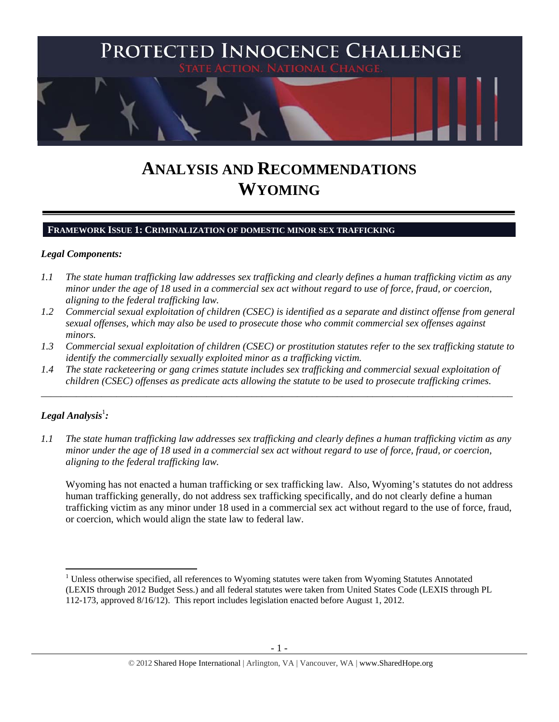

# **ANALYSIS AND RECOMMENDATIONS WYOMING**

#### **FRAMEWORK ISSUE 1: CRIMINALIZATION OF DOMESTIC MINOR SEX TRAFFICKING**

#### *Legal Components:*

- *1.1 The state human trafficking law addresses sex trafficking and clearly defines a human trafficking victim as any minor under the age of 18 used in a commercial sex act without regard to use of force, fraud, or coercion, aligning to the federal trafficking law.*
- *1.2 Commercial sexual exploitation of children (CSEC) is identified as a separate and distinct offense from general sexual offenses, which may also be used to prosecute those who commit commercial sex offenses against minors.*
- *1.3 Commercial sexual exploitation of children (CSEC) or prostitution statutes refer to the sex trafficking statute to identify the commercially sexually exploited minor as a trafficking victim.*

\_\_\_\_\_\_\_\_\_\_\_\_\_\_\_\_\_\_\_\_\_\_\_\_\_\_\_\_\_\_\_\_\_\_\_\_\_\_\_\_\_\_\_\_\_\_\_\_\_\_\_\_\_\_\_\_\_\_\_\_\_\_\_\_\_\_\_\_\_\_\_\_\_\_\_\_\_\_\_\_\_\_\_\_\_\_\_\_\_\_\_\_\_\_

*1.4 The state racketeering or gang crimes statute includes sex trafficking and commercial sexual exploitation of children (CSEC) offenses as predicate acts allowing the statute to be used to prosecute trafficking crimes.* 

# $\bm{\mathit{Legal\, Analysis^{\text{!}}:}}$

*1.1 The state human trafficking law addresses sex trafficking and clearly defines a human trafficking victim as any minor under the age of 18 used in a commercial sex act without regard to use of force, fraud, or coercion, aligning to the federal trafficking law.* 

Wyoming has not enacted a human trafficking or sex trafficking law. Also, Wyoming's statutes do not address human trafficking generally, do not address sex trafficking specifically, and do not clearly define a human trafficking victim as any minor under 18 used in a commercial sex act without regard to the use of force, fraud, or coercion, which would align the state law to federal law.

<sup>&</sup>lt;sup>1</sup> Unless otherwise specified, all references to Wyoming statutes were taken from Wyoming Statutes Annotated (LEXIS through 2012 Budget Sess.) and all federal statutes were taken from United States Code (LEXIS through PL 112-173, approved 8/16/12). This report includes legislation enacted before August 1, 2012.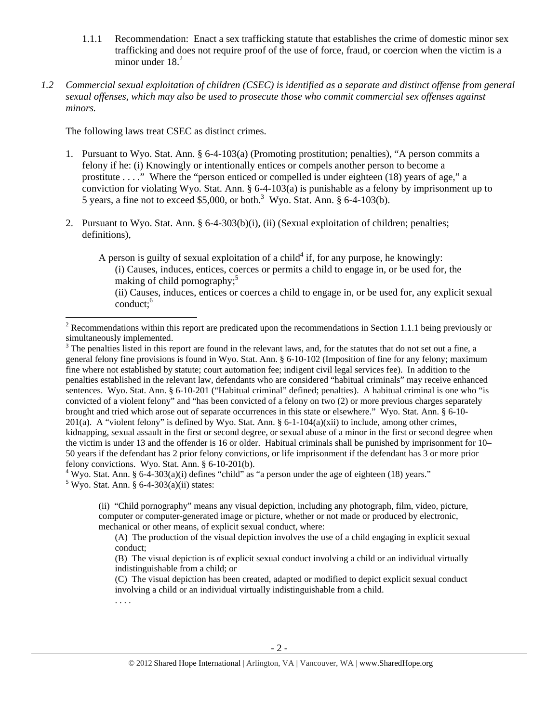- 1.1.1 Recommendation: Enact a sex trafficking statute that establishes the crime of domestic minor sex trafficking and does not require proof of the use of force, fraud, or coercion when the victim is a minor under  $18<sup>2</sup>$
- *1.2 Commercial sexual exploitation of children (CSEC) is identified as a separate and distinct offense from general sexual offenses, which may also be used to prosecute those who commit commercial sex offenses against minors.*

The following laws treat CSEC as distinct crimes.

- 1. Pursuant to Wyo. Stat. Ann. § 6-4-103(a) (Promoting prostitution; penalties), "A person commits a felony if he: (i) Knowingly or intentionally entices or compels another person to become a prostitute . . . ." Where the "person enticed or compelled is under eighteen (18) years of age," a conviction for violating Wyo. Stat. Ann. § 6-4-103(a) is punishable as a felony by imprisonment up to 5 years, a fine not to exceed \$5,000, or both.<sup>3</sup> Wyo. Stat. Ann. § 6-4-103(b).
- 2. Pursuant to Wyo. Stat. Ann. § 6-4-303(b)(i), (ii) (Sexual exploitation of children; penalties; definitions),

. . . .

A person is guilty of sexual exploitation of a child<sup>4</sup> if, for any purpose, he knowingly: (i) Causes, induces, entices, coerces or permits a child to engage in, or be used for, the making of child pornography; $5$ 

<sup>(</sup>ii) Causes, induces, entices or coerces a child to engage in, or be used for, any explicit sexual  $\text{conduct:}^6$ 

<sup>&</sup>lt;sup>2</sup> Recommendations within this report are predicated upon the recommendations in Section 1.1.1 being previously or simultaneously implemented.

 $3$  The penalties listed in this report are found in the relevant laws, and, for the statutes that do not set out a fine, a general felony fine provisions is found in Wyo. Stat. Ann. § 6-10-102 (Imposition of fine for any felony; maximum fine where not established by statute; court automation fee; indigent civil legal services fee). In addition to the penalties established in the relevant law, defendants who are considered "habitual criminals" may receive enhanced sentences. Wyo. Stat. Ann. § 6-10-201 ("Habitual criminal" defined; penalties). A habitual criminal is one who "is convicted of a violent felony" and "has been convicted of a felony on two (2) or more previous charges separately brought and tried which arose out of separate occurrences in this state or elsewhere." Wyo. Stat. Ann. § 6-10- 201(a). A "violent felony" is defined by Wyo. Stat. Ann. §  $6-1-104(a)(xii)$  to include, among other crimes, kidnapping, sexual assault in the first or second degree, or sexual abuse of a minor in the first or second degree when the victim is under 13 and the offender is 16 or older. Habitual criminals shall be punished by imprisonment for 10– 50 years if the defendant has 2 prior felony convictions, or life imprisonment if the defendant has 3 or more prior felony convictions. Wyo. Stat. Ann. § 6-10-201(b).

<sup>&</sup>lt;sup>4</sup> Wyo. Stat. Ann. § 6-4-303(a)(i) defines "child" as "a person under the age of eighteen (18) years."<br><sup>5</sup> Wyo. Stat. Ann. § 6.4.303(a)(ii) states:  $5$  Wyo. Stat. Ann. § 6-4-303(a)(ii) states:

<sup>(</sup>ii) "Child pornography" means any visual depiction, including any photograph, film, video, picture, computer or computer-generated image or picture, whether or not made or produced by electronic, mechanical or other means, of explicit sexual conduct, where:

<sup>(</sup>A) The production of the visual depiction involves the use of a child engaging in explicit sexual conduct;

<sup>(</sup>B) The visual depiction is of explicit sexual conduct involving a child or an individual virtually indistinguishable from a child; or

<sup>(</sup>C) The visual depiction has been created, adapted or modified to depict explicit sexual conduct involving a child or an individual virtually indistinguishable from a child.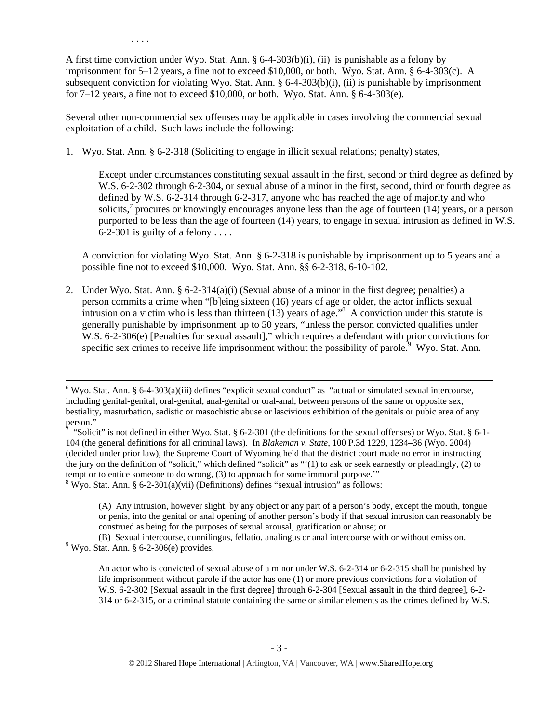A first time conviction under Wyo. Stat. Ann. § 6-4-303(b)(i), (ii) is punishable as a felony by imprisonment for 5–12 years, a fine not to exceed \$10,000, or both. Wyo. Stat. Ann. § 6-4-303(c). A subsequent conviction for violating Wyo. Stat. Ann. § 6-4-303(b)(i), (ii) is punishable by imprisonment for 7–12 years, a fine not to exceed \$10,000, or both. Wyo. Stat. Ann. § 6-4-303(e).

. . . .

Several other non-commercial sex offenses may be applicable in cases involving the commercial sexual exploitation of a child. Such laws include the following:

1. Wyo. Stat. Ann. § 6-2-318 (Soliciting to engage in illicit sexual relations; penalty) states,

Except under circumstances constituting sexual assault in the first, second or third degree as defined by W.S. 6-2-302 through 6-2-304, or sexual abuse of a minor in the first, second, third or fourth degree as defined by W.S. 6-2-314 through 6-2-317, anyone who has reached the age of majority and who solicits, $\frac{7}{1}$  procures or knowingly encourages anyone less than the age of fourteen (14) years, or a person purported to be less than the age of fourteen (14) years, to engage in sexual intrusion as defined in W.S. 6-2-301 is guilty of a felony  $\dots$ 

A conviction for violating Wyo. Stat. Ann. § 6-2-318 is punishable by imprisonment up to 5 years and a possible fine not to exceed \$10,000. Wyo. Stat. Ann. §§ 6-2-318, 6-10-102.

2. Under Wyo. Stat. Ann. § 6-2-314(a)(i) (Sexual abuse of a minor in the first degree; penalties) a person commits a crime when "[b]eing sixteen (16) years of age or older, the actor inflicts sexual intrusion on a victim who is less than thirteen (13) years of age."8 A conviction under this statute is generally punishable by imprisonment up to 50 years, "unless the person convicted qualifies under W.S. 6-2-306(e) [Penalties for sexual assault]," which requires a defendant with prior convictions for specific sex crimes to receive life imprisonment without the possibility of parole.<sup>9</sup> Wyo. Stat. Ann.

 $8$  Wyo. Stat. Ann. § 6-2-301(a)(vii) (Definitions) defines "sexual intrusion" as follows:

(A) Any intrusion, however slight, by any object or any part of a person's body, except the mouth, tongue or penis, into the genital or anal opening of another person's body if that sexual intrusion can reasonably be construed as being for the purposes of sexual arousal, gratification or abuse; or

(B) Sexual intercourse, cunnilingus, fellatio, analingus or anal intercourse with or without emission. 9  $9$  Wyo. Stat. Ann. § 6-2-306(e) provides,

An actor who is convicted of sexual abuse of a minor under W.S. 6-2-314 or 6-2-315 shall be punished by life imprisonment without parole if the actor has one (1) or more previous convictions for a violation of W.S. 6-2-302 [Sexual assault in the first degree] through 6-2-304 [Sexual assault in the third degree], 6-2- 314 or 6-2-315, or a criminal statute containing the same or similar elements as the crimes defined by W.S.

 <sup>6</sup> Wyo. Stat. Ann. § 6-4-303(a)(iii) defines "explicit sexual conduct" as "actual or simulated sexual intercourse, including genital-genital, oral-genital, anal-genital or oral-anal, between persons of the same or opposite sex, bestiality, masturbation, sadistic or masochistic abuse or lascivious exhibition of the genitals or pubic area of any person."<br><sup>7</sup> "Solici

 <sup>&</sup>quot;Solicit" is not defined in either Wyo. Stat. § 6-2-301 (the definitions for the sexual offenses) or Wyo. Stat. § 6-1- 104 (the general definitions for all criminal laws). In *Blakeman v. State*, 100 P.3d 1229, 1234–36 (Wyo. 2004) (decided under prior law), the Supreme Court of Wyoming held that the district court made no error in instructing the jury on the definition of "solicit," which defined "solicit" as "'(1) to ask or seek earnestly or pleadingly, (2) to tempt or to entice someone to do wrong, (3) to approach for some immoral purpose.'"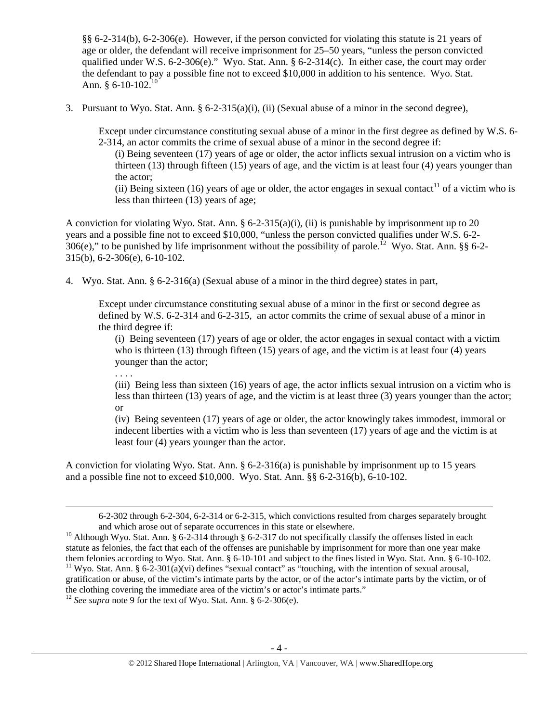§§ 6-2-314(b), 6-2-306(e). However, if the person convicted for violating this statute is 21 years of age or older, the defendant will receive imprisonment for 25–50 years, "unless the person convicted qualified under W.S. 6-2-306(e)." Wyo. Stat. Ann.  $\S$  6-2-314(c). In either case, the court may order the defendant to pay a possible fine not to exceed \$10,000 in addition to his sentence. Wyo. Stat. Ann. §  $6-10-102$ <sup>10</sup>

3. Pursuant to Wyo. Stat. Ann.  $\S 6$ -2-315(a)(i), (ii) (Sexual abuse of a minor in the second degree),

Except under circumstance constituting sexual abuse of a minor in the first degree as defined by W.S. 6-  $2-314$ , an actor commits the crime of sexual abuse of a minor in the second degree if:

(i) Being seventeen (17) years of age or older, the actor inflicts sexual intrusion on a victim who is thirteen (13) through fifteen (15) years of age, and the victim is at least four (4) years younger than the actor;

(ii) Being sixteen (16) years of age or older, the actor engages in sexual contact<sup>11</sup> of a victim who is less than thirteen (13) years of age;

A conviction for violating Wyo. Stat. Ann. § 6-2-315(a)(i), (ii) is punishable by imprisonment up to 20 years and a possible fine not to exceed \$10,000, "unless the person convicted qualifies under W.S. 6-2- 306(e)," to be punished by life imprisonment without the possibility of parole.<sup>12</sup> Wyo. Stat. Ann.  $886-2-$ 315(b), 6-2-306(e), 6-10-102.

4. Wyo. Stat. Ann. § 6-2-316(a) (Sexual abuse of a minor in the third degree) states in part,

Except under circumstance constituting sexual abuse of a minor in the first or second degree as defined by W.S. 6-2-314 and 6-2-315, an actor commits the crime of sexual abuse of a minor in the third degree if:

(i) Being seventeen (17) years of age or older, the actor engages in sexual contact with a victim who is thirteen (13) through fifteen (15) years of age, and the victim is at least four (4) years younger than the actor;

. . . .

(iii) Being less than sixteen (16) years of age, the actor inflicts sexual intrusion on a victim who is less than thirteen (13) years of age, and the victim is at least three (3) years younger than the actor; or

(iv) Being seventeen (17) years of age or older, the actor knowingly takes immodest, immoral or indecent liberties with a victim who is less than seventeen (17) years of age and the victim is at least four (4) years younger than the actor.

A conviction for violating Wyo. Stat. Ann. § 6-2-316(a) is punishable by imprisonment up to 15 years and a possible fine not to exceed \$10,000. Wyo. Stat. Ann. §§ 6-2-316(b), 6-10-102.

<u> 1989 - Johann Stein, marwolaethau a bhannaich an t-an an t-an an t-an an t-an an t-an an t-an an t-an an t-a</u>

<sup>6-2-302</sup> through 6-2-304, 6-2-314 or 6-2-315, which convictions resulted from charges separately brought and which arose out of separate occurrences in this state or elsewhere.<br><sup>10</sup> Although Wyo. Stat. Ann. § 6-2-314 through § 6-2-317 do not specifically classify the offenses listed in each

statute as felonies, the fact that each of the offenses are punishable by imprisonment for more than one year make them felonies according to Wyo. Stat. Ann. § 6-10-101 and subject to the fines listed in Wyo. Stat. Ann. § 6-10-102. <sup>11</sup> Wyo. Stat. Ann. § 6-2-301(a)(vi) defines "sexual contact" as "touching, with the intention of sexual arousal, gratification or abuse, of the victim's intimate parts by the actor, or of the actor's intimate parts by the victim, or of the clothing covering the immediate area of the victim's or actor's intimate parts." 12 *See supra* note 9 for the text of Wyo. Stat. Ann. § 6-2-306(e).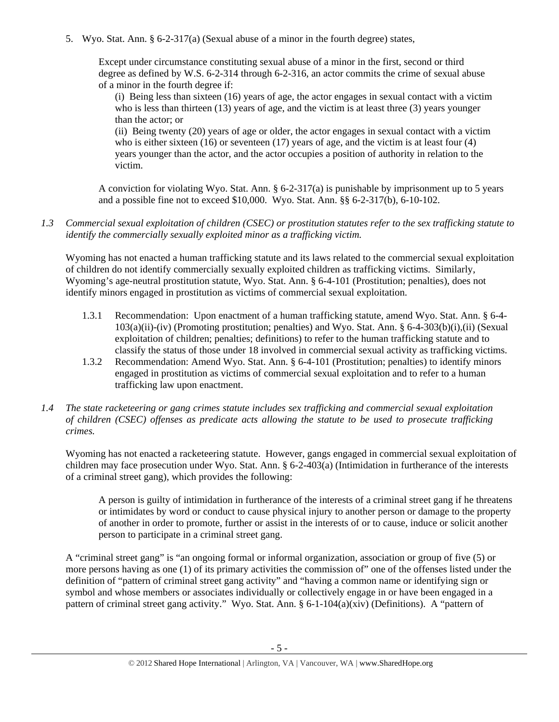5. Wyo. Stat. Ann. § 6-2-317(a) (Sexual abuse of a minor in the fourth degree) states,

Except under circumstance constituting sexual abuse of a minor in the first, second or third degree as defined by W.S. 6-2-314 through 6-2-316, an actor commits the crime of sexual abuse of a minor in the fourth degree if:

(i) Being less than sixteen (16) years of age, the actor engages in sexual contact with a victim who is less than thirteen (13) years of age, and the victim is at least three (3) years younger than the actor; or

(ii) Being twenty (20) years of age or older, the actor engages in sexual contact with a victim who is either sixteen  $(16)$  or seventeen  $(17)$  years of age, and the victim is at least four  $(4)$ years younger than the actor, and the actor occupies a position of authority in relation to the victim.

A conviction for violating Wyo. Stat. Ann. § 6-2-317(a) is punishable by imprisonment up to 5 years and a possible fine not to exceed \$10,000. Wyo. Stat. Ann. §§ 6-2-317(b), 6-10-102.

*1.3 Commercial sexual exploitation of children (CSEC) or prostitution statutes refer to the sex trafficking statute to identify the commercially sexually exploited minor as a trafficking victim.* 

Wyoming has not enacted a human trafficking statute and its laws related to the commercial sexual exploitation of children do not identify commercially sexually exploited children as trafficking victims. Similarly, Wyoming's age-neutral prostitution statute, Wyo. Stat. Ann. § 6-4-101 (Prostitution; penalties), does not identify minors engaged in prostitution as victims of commercial sexual exploitation.

- 1.3.1 Recommendation: Upon enactment of a human trafficking statute, amend Wyo. Stat. Ann. § 6-4- 103(a)(ii)-(iv) (Promoting prostitution; penalties) and Wyo. Stat. Ann. § 6-4-303(b)(i),(ii) (Sexual exploitation of children; penalties; definitions) to refer to the human trafficking statute and to classify the status of those under 18 involved in commercial sexual activity as trafficking victims.
- 1.3.2 Recommendation: Amend Wyo. Stat. Ann. § 6-4-101 (Prostitution; penalties) to identify minors engaged in prostitution as victims of commercial sexual exploitation and to refer to a human trafficking law upon enactment.
- *1.4 The state racketeering or gang crimes statute includes sex trafficking and commercial sexual exploitation of children (CSEC) offenses as predicate acts allowing the statute to be used to prosecute trafficking crimes.*

Wyoming has not enacted a racketeering statute. However, gangs engaged in commercial sexual exploitation of children may face prosecution under Wyo. Stat. Ann. § 6-2-403(a) (Intimidation in furtherance of the interests of a criminal street gang), which provides the following:

A person is guilty of intimidation in furtherance of the interests of a criminal street gang if he threatens or intimidates by word or conduct to cause physical injury to another person or damage to the property of another in order to promote, further or assist in the interests of or to cause, induce or solicit another person to participate in a criminal street gang.

A "criminal street gang" is "an ongoing formal or informal organization, association or group of five (5) or more persons having as one (1) of its primary activities the commission of" one of the offenses listed under the definition of "pattern of criminal street gang activity" and "having a common name or identifying sign or symbol and whose members or associates individually or collectively engage in or have been engaged in a pattern of criminal street gang activity." Wyo. Stat. Ann. § 6-1-104(a)(xiv) (Definitions). A "pattern of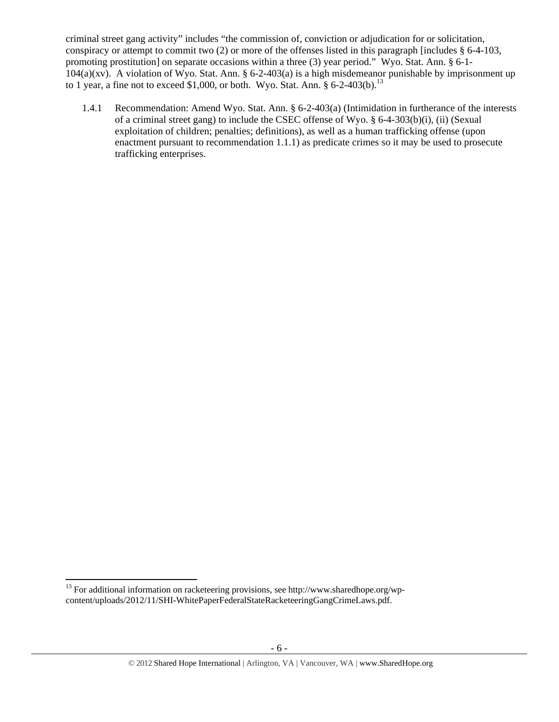criminal street gang activity" includes "the commission of, conviction or adjudication for or solicitation, conspiracy or attempt to commit two (2) or more of the offenses listed in this paragraph [includes § 6-4-103, promoting prostitution] on separate occasions within a three (3) year period." Wyo. Stat. Ann. § 6-1-  $104(a)(xv)$ . A violation of Wyo. Stat. Ann. § 6-2-403(a) is a high misdemeanor punishable by imprisonment up to 1 year, a fine not to exceed \$1,000, or both. Wyo. Stat. Ann.  $\S 6$ -2-403(b).<sup>13</sup>

1.4.1 Recommendation: Amend Wyo. Stat. Ann. § 6-2-403(a) (Intimidation in furtherance of the interests of a criminal street gang) to include the CSEC offense of Wyo. § 6-4-303(b)(i), (ii) (Sexual exploitation of children; penalties; definitions), as well as a human trafficking offense (upon enactment pursuant to recommendation 1.1.1) as predicate crimes so it may be used to prosecute trafficking enterprises.

 $13$  For additional information on racketeering provisions, see http://www.sharedhope.org/wpcontent/uploads/2012/11/SHI-WhitePaperFederalStateRacketeeringGangCrimeLaws.pdf.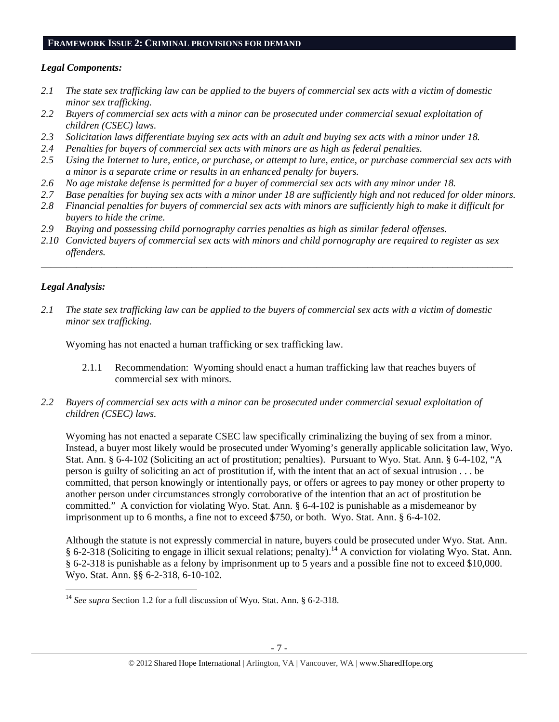#### **FRAMEWORK ISSUE 2: CRIMINAL PROVISIONS FOR DEMAND**

## *Legal Components:*

- *2.1 The state sex trafficking law can be applied to the buyers of commercial sex acts with a victim of domestic minor sex trafficking.*
- *2.2 Buyers of commercial sex acts with a minor can be prosecuted under commercial sexual exploitation of children (CSEC) laws.*
- *2.3 Solicitation laws differentiate buying sex acts with an adult and buying sex acts with a minor under 18.*
- *2.4 Penalties for buyers of commercial sex acts with minors are as high as federal penalties.*
- *2.5 Using the Internet to lure, entice, or purchase, or attempt to lure, entice, or purchase commercial sex acts with a minor is a separate crime or results in an enhanced penalty for buyers.*
- *2.6 No age mistake defense is permitted for a buyer of commercial sex acts with any minor under 18.*
- *2.7 Base penalties for buying sex acts with a minor under 18 are sufficiently high and not reduced for older minors.*
- *2.8 Financial penalties for buyers of commercial sex acts with minors are sufficiently high to make it difficult for buyers to hide the crime.*
- *2.9 Buying and possessing child pornography carries penalties as high as similar federal offenses.*
- *2.10 Convicted buyers of commercial sex acts with minors and child pornography are required to register as sex offenders.*

\_\_\_\_\_\_\_\_\_\_\_\_\_\_\_\_\_\_\_\_\_\_\_\_\_\_\_\_\_\_\_\_\_\_\_\_\_\_\_\_\_\_\_\_\_\_\_\_\_\_\_\_\_\_\_\_\_\_\_\_\_\_\_\_\_\_\_\_\_\_\_\_\_\_\_\_\_\_\_\_\_\_\_\_\_\_\_\_\_\_\_\_\_\_

# *Legal Analysis:*

*2.1 The state sex trafficking law can be applied to the buyers of commercial sex acts with a victim of domestic minor sex trafficking.* 

Wyoming has not enacted a human trafficking or sex trafficking law.

- 2.1.1 Recommendation: Wyoming should enact a human trafficking law that reaches buyers of commercial sex with minors.
- *2.2 Buyers of commercial sex acts with a minor can be prosecuted under commercial sexual exploitation of children (CSEC) laws.*

Wyoming has not enacted a separate CSEC law specifically criminalizing the buying of sex from a minor. Instead, a buyer most likely would be prosecuted under Wyoming's generally applicable solicitation law, Wyo. Stat. Ann. § 6-4-102 (Soliciting an act of prostitution; penalties). Pursuant to Wyo. Stat. Ann. § 6-4-102, "A person is guilty of soliciting an act of prostitution if, with the intent that an act of sexual intrusion . . . be committed, that person knowingly or intentionally pays, or offers or agrees to pay money or other property to another person under circumstances strongly corroborative of the intention that an act of prostitution be committed." A conviction for violating Wyo. Stat. Ann. § 6-4-102 is punishable as a misdemeanor by imprisonment up to 6 months, a fine not to exceed \$750, or both. Wyo. Stat. Ann. § 6-4-102.

Although the statute is not expressly commercial in nature, buyers could be prosecuted under Wyo. Stat. Ann. § 6-2-318 (Soliciting to engage in illicit sexual relations; penalty).<sup>14</sup> A conviction for violating Wyo. Stat. Ann. § 6-2-318 is punishable as a felony by imprisonment up to 5 years and a possible fine not to exceed \$10,000. Wyo. Stat. Ann. §§ 6-2-318, 6-10-102.

 <sup>14</sup> See supra Section 1.2 for a full discussion of Wyo. Stat. Ann. § 6-2-318.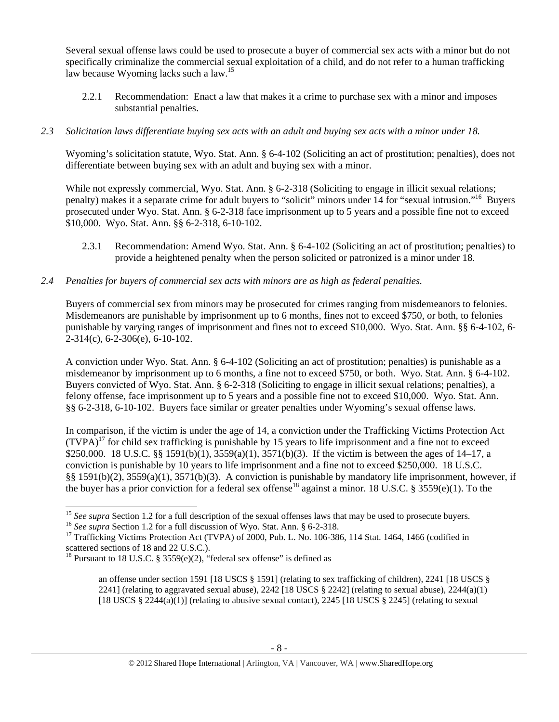Several sexual offense laws could be used to prosecute a buyer of commercial sex acts with a minor but do not specifically criminalize the commercial sexual exploitation of a child, and do not refer to a human trafficking law because Wyoming lacks such a law.<sup>15</sup>

2.2.1 Recommendation: Enact a law that makes it a crime to purchase sex with a minor and imposes substantial penalties.

#### *2.3 Solicitation laws differentiate buying sex acts with an adult and buying sex acts with a minor under 18.*

Wyoming's solicitation statute, Wyo. Stat. Ann. § 6-4-102 (Soliciting an act of prostitution; penalties), does not differentiate between buying sex with an adult and buying sex with a minor.

While not expressly commercial, Wyo. Stat. Ann. § 6-2-318 (Soliciting to engage in illicit sexual relations; penalty) makes it a separate crime for adult buyers to "solicit" minors under 14 for "sexual intrusion."16 Buyers prosecuted under Wyo. Stat. Ann. § 6-2-318 face imprisonment up to 5 years and a possible fine not to exceed \$10,000. Wyo. Stat. Ann. §§ 6-2-318, 6-10-102.

2.3.1 Recommendation: Amend Wyo. Stat. Ann. § 6-4-102 (Soliciting an act of prostitution; penalties) to provide a heightened penalty when the person solicited or patronized is a minor under 18.

# *2.4 Penalties for buyers of commercial sex acts with minors are as high as federal penalties.*

Buyers of commercial sex from minors may be prosecuted for crimes ranging from misdemeanors to felonies. Misdemeanors are punishable by imprisonment up to 6 months, fines not to exceed \$750, or both, to felonies punishable by varying ranges of imprisonment and fines not to exceed \$10,000. Wyo. Stat. Ann. §§ 6-4-102, 6- 2-314(c), 6-2-306(e), 6-10-102.

A conviction under Wyo. Stat. Ann. § 6-4-102 (Soliciting an act of prostitution; penalties) is punishable as a misdemeanor by imprisonment up to 6 months, a fine not to exceed \$750, or both. Wyo. Stat. Ann. § 6-4-102. Buyers convicted of Wyo. Stat. Ann. § 6-2-318 (Soliciting to engage in illicit sexual relations; penalties), a felony offense, face imprisonment up to 5 years and a possible fine not to exceed \$10,000. Wyo. Stat. Ann. §§ 6-2-318, 6-10-102. Buyers face similar or greater penalties under Wyoming's sexual offense laws.

In comparison, if the victim is under the age of 14, a conviction under the Trafficking Victims Protection Act  $(TVPA)^{17}$  for child sex trafficking is punishable by 15 years to life imprisonment and a fine not to exceed \$250,000. 18 U.S.C. §§ 1591(b)(1), 3559(a)(1), 3571(b)(3). If the victim is between the ages of 14–17, a conviction is punishable by 10 years to life imprisonment and a fine not to exceed \$250,000. 18 U.S.C. §§ 1591(b)(2), 3559(a)(1), 3571(b)(3). A conviction is punishable by mandatory life imprisonment, however, if the buyer has a prior conviction for a federal sex offense<sup>18</sup> against a minor. 18 U.S.C. § 3559(e)(1). To the

 <sup>15</sup> See supra Section 1.2 for a full description of the sexual offenses laws that may be used to prosecute buyers.<br><sup>16</sup> See supra Section 1.2 for a full discussion of Wyo. Stat. Ann.  $\S$  6-2-318.<br><sup>17</sup> Trafficking Victims

scattered sections of 18 and 22 U.S.C.).

<sup>&</sup>lt;sup>18</sup> Pursuant to 18 U.S.C. § 3559(e)(2), "federal sex offense" is defined as

an offense under section 1591 [18 USCS § 1591] (relating to sex trafficking of children), 2241 [18 USCS § 2241] (relating to aggravated sexual abuse), 2242 [18 USCS  $\S$  2242] (relating to sexual abuse), 2244(a)(1) [18 USCS § 2244(a)(1)] (relating to abusive sexual contact), 2245 [18 USCS § 2245] (relating to sexual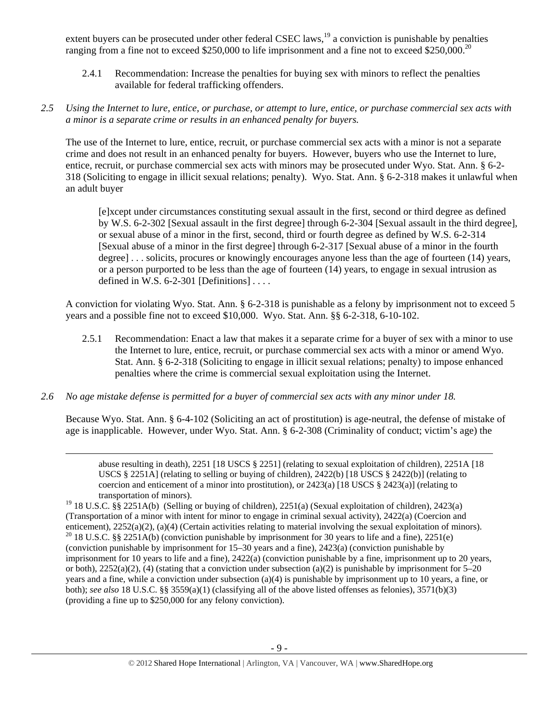extent buyers can be prosecuted under other federal CSEC laws,<sup>19</sup> a conviction is punishable by penalties ranging from a fine not to exceed  $$250,000$  to life imprisonment and a fine not to exceed  $$250,000$ .<sup>20</sup>

2.4.1 Recommendation: Increase the penalties for buying sex with minors to reflect the penalties available for federal trafficking offenders.

## *2.5 Using the Internet to lure, entice, or purchase, or attempt to lure, entice, or purchase commercial sex acts with a minor is a separate crime or results in an enhanced penalty for buyers.*

The use of the Internet to lure, entice, recruit, or purchase commercial sex acts with a minor is not a separate crime and does not result in an enhanced penalty for buyers. However, buyers who use the Internet to lure, entice, recruit, or purchase commercial sex acts with minors may be prosecuted under Wyo. Stat. Ann. § 6-2- 318 (Soliciting to engage in illicit sexual relations; penalty). Wyo. Stat. Ann. § 6-2-318 makes it unlawful when an adult buyer

[e]xcept under circumstances constituting sexual assault in the first, second or third degree as defined by W.S. 6-2-302 [Sexual assault in the first degree] through 6-2-304 [Sexual assault in the third degree], or sexual abuse of a minor in the first, second, third or fourth degree as defined by W.S. 6-2-314 [Sexual abuse of a minor in the first degree] through 6-2-317 [Sexual abuse of a minor in the fourth degree] . . . solicits, procures or knowingly encourages anyone less than the age of fourteen (14) years, or a person purported to be less than the age of fourteen (14) years, to engage in sexual intrusion as defined in W.S.  $6-2-301$  [Definitions] ...

A conviction for violating Wyo. Stat. Ann. § 6-2-318 is punishable as a felony by imprisonment not to exceed 5 years and a possible fine not to exceed \$10,000. Wyo. Stat. Ann. §§ 6-2-318, 6-10-102.

2.5.1 Recommendation: Enact a law that makes it a separate crime for a buyer of sex with a minor to use the Internet to lure, entice, recruit, or purchase commercial sex acts with a minor or amend Wyo. Stat. Ann. § 6-2-318 (Soliciting to engage in illicit sexual relations; penalty) to impose enhanced penalties where the crime is commercial sexual exploitation using the Internet.

# *2.6 No age mistake defense is permitted for a buyer of commercial sex acts with any minor under 18.*

Because Wyo. Stat. Ann. § 6-4-102 (Soliciting an act of prostitution) is age-neutral, the defense of mistake of age is inapplicable. However, under Wyo. Stat. Ann. § 6-2-308 (Criminality of conduct; victim's age) the

<u> Andrewski politika (za obrazu pod predsjednika u predsjednika u predsjednika u predsjednika (za obrazu pod p</u>

abuse resulting in death), 2251 [18 USCS § 2251] (relating to sexual exploitation of children), 2251A [18 USCS § 2251A] (relating to selling or buying of children), 2422(b) [18 USCS § 2422(b)] (relating to coercion and enticement of a minor into prostitution), or  $2423(a)$  [18 USCS §  $2423(a)$ ] (relating to transportation of minors).

(conviction punishable by imprisonment for 15–30 years and a fine), 2423(a) (conviction punishable by imprisonment for 10 years to life and a fine), 2422(a) (conviction punishable by a fine, imprisonment up to 20 years, or both),  $2252(a)(2)$ , (4) (stating that a conviction under subsection (a)(2) is punishable by imprisonment for 5–20 years and a fine, while a conviction under subsection (a)(4) is punishable by imprisonment up to 10 years, a fine, or both); *see also* 18 U.S.C. §§ 3559(a)(1) (classifying all of the above listed offenses as felonies), 3571(b)(3) (providing a fine up to \$250,000 for any felony conviction).

<sup>&</sup>lt;sup>19</sup> 18 U.S.C. §§ 2251A(b) (Selling or buying of children), 2251(a) (Sexual exploitation of children), 2423(a) (Transportation of a minor with intent for minor to engage in criminal sexual activity), 2422(a) (Coercion and enticement), 2252(a)(2), (a)(4) (Certain activities relating to material involving the sexual exploitation of minors). <sup>20</sup> 18 U.S.C. §§ 2251A(b) (conviction punishable by imprisonment for 30 years to life and a fine), 22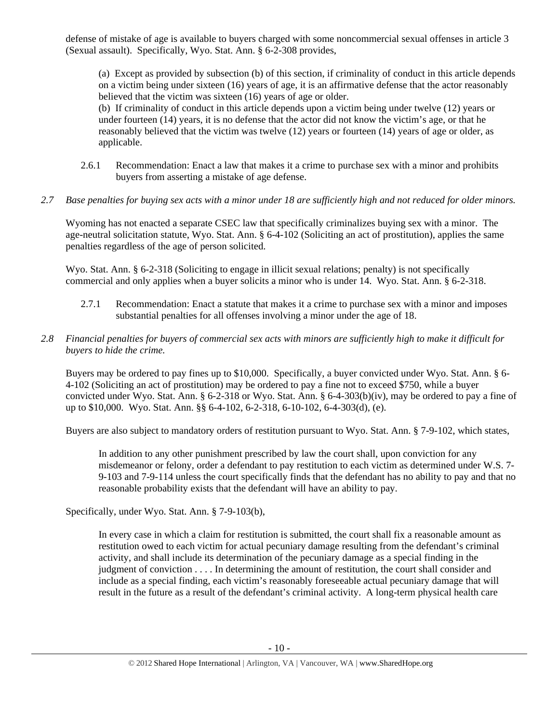defense of mistake of age is available to buyers charged with some noncommercial sexual offenses in article 3 (Sexual assault). Specifically, Wyo. Stat. Ann. § 6-2-308 provides,

(a) Except as provided by subsection (b) of this section, if criminality of conduct in this article depends on a victim being under sixteen (16) years of age, it is an affirmative defense that the actor reasonably believed that the victim was sixteen (16) years of age or older.

(b) If criminality of conduct in this article depends upon a victim being under twelve (12) years or under fourteen (14) years, it is no defense that the actor did not know the victim's age, or that he reasonably believed that the victim was twelve (12) years or fourteen (14) years of age or older, as applicable.

- 2.6.1 Recommendation: Enact a law that makes it a crime to purchase sex with a minor and prohibits buyers from asserting a mistake of age defense.
- *2.7 Base penalties for buying sex acts with a minor under 18 are sufficiently high and not reduced for older minors.*

Wyoming has not enacted a separate CSEC law that specifically criminalizes buying sex with a minor. The age-neutral solicitation statute, Wyo. Stat. Ann. § 6-4-102 (Soliciting an act of prostitution), applies the same penalties regardless of the age of person solicited.

Wyo. Stat. Ann. § 6-2-318 (Soliciting to engage in illicit sexual relations; penalty) is not specifically commercial and only applies when a buyer solicits a minor who is under 14. Wyo. Stat. Ann. § 6-2-318.

- 2.7.1 Recommendation: Enact a statute that makes it a crime to purchase sex with a minor and imposes substantial penalties for all offenses involving a minor under the age of 18.
- *2.8 Financial penalties for buyers of commercial sex acts with minors are sufficiently high to make it difficult for buyers to hide the crime.*

Buyers may be ordered to pay fines up to \$10,000. Specifically, a buyer convicted under Wyo. Stat. Ann. § 6- 4-102 (Soliciting an act of prostitution) may be ordered to pay a fine not to exceed \$750, while a buyer convicted under Wyo. Stat. Ann. § 6-2-318 or Wyo. Stat. Ann. § 6-4-303(b)(iv), may be ordered to pay a fine of up to \$10,000. Wyo. Stat. Ann. §§ 6-4-102, 6-2-318, 6-10-102, 6-4-303(d), (e).

Buyers are also subject to mandatory orders of restitution pursuant to Wyo. Stat. Ann. § 7-9-102, which states,

In addition to any other punishment prescribed by law the court shall, upon conviction for any misdemeanor or felony, order a defendant to pay restitution to each victim as determined under W.S. 7- 9-103 and 7-9-114 unless the court specifically finds that the defendant has no ability to pay and that no reasonable probability exists that the defendant will have an ability to pay.

Specifically, under Wyo. Stat. Ann. § 7-9-103(b),

In every case in which a claim for restitution is submitted, the court shall fix a reasonable amount as restitution owed to each victim for actual pecuniary damage resulting from the defendant's criminal activity, and shall include its determination of the pecuniary damage as a special finding in the judgment of conviction . . . . In determining the amount of restitution, the court shall consider and include as a special finding, each victim's reasonably foreseeable actual pecuniary damage that will result in the future as a result of the defendant's criminal activity. A long-term physical health care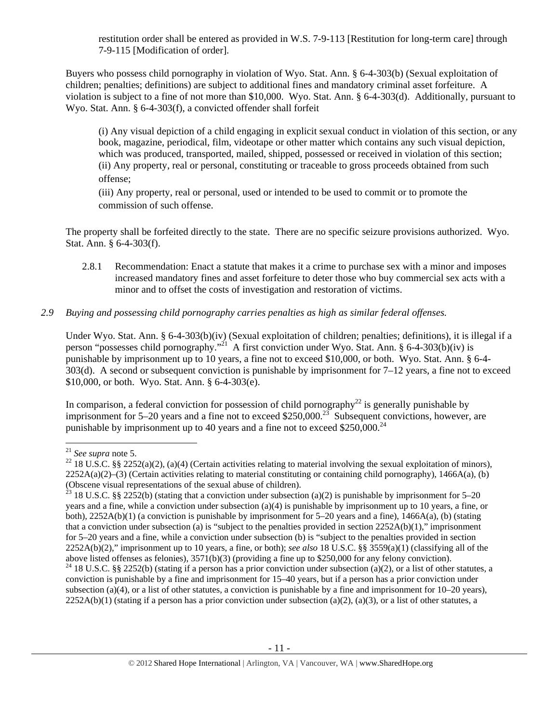restitution order shall be entered as provided in W.S. 7-9-113 [Restitution for long-term care] through 7-9-115 [Modification of order].

Buyers who possess child pornography in violation of Wyo. Stat. Ann. § 6-4-303(b) (Sexual exploitation of children; penalties; definitions) are subject to additional fines and mandatory criminal asset forfeiture. A violation is subject to a fine of not more than \$10,000. Wyo. Stat. Ann. § 6-4-303(d). Additionally, pursuant to Wyo. Stat. Ann. § 6-4-303(f), a convicted offender shall forfeit

(i) Any visual depiction of a child engaging in explicit sexual conduct in violation of this section, or any book, magazine, periodical, film, videotape or other matter which contains any such visual depiction, which was produced, transported, mailed, shipped, possessed or received in violation of this section; (ii) Any property, real or personal, constituting or traceable to gross proceeds obtained from such offense;

(iii) Any property, real or personal, used or intended to be used to commit or to promote the commission of such offense.

The property shall be forfeited directly to the state. There are no specific seizure provisions authorized. Wyo. Stat. Ann. § 6-4-303(f).

2.8.1 Recommendation: Enact a statute that makes it a crime to purchase sex with a minor and imposes increased mandatory fines and asset forfeiture to deter those who buy commercial sex acts with a minor and to offset the costs of investigation and restoration of victims.

# *2.9 Buying and possessing child pornography carries penalties as high as similar federal offenses.*

Under Wyo. Stat. Ann. § 6-4-303(b)(iv) (Sexual exploitation of children; penalties; definitions), it is illegal if a person "possesses child pornography."<sup>21</sup> A first conviction under Wyo. Stat. Ann. § 6-4-303(b)(iv) is punishable by imprisonment up to 10 years, a fine not to exceed \$10,000, or both. Wyo. Stat. Ann. § 6-4- 303(d). A second or subsequent conviction is punishable by imprisonment for  $7-12$  years, a fine not to exceed \$10,000, or both. Wyo. Stat. Ann. § 6-4-303(e).

In comparison, a federal conviction for possession of child pornography<sup>22</sup> is generally punishable by imprisonment for 5–20 years and a fine not to exceed \$250,000.<sup>23</sup> Subsequent convictions, however, are punishable by imprisonment up to 40 years and a fine not to exceed  $$250,000.<sup>24</sup>$ 

<sup>&</sup>lt;sup>21</sup> *See supra* note 5.<br><sup>22</sup> 18 U.S.C. §§ 2252(a)(2), (a)(4) (Certain activities relating to material involving the sexual exploitation of minors),  $2252A(a)(2)$ –(3) (Certain activities relating to material constituting or containing child pornography), 1466A(a), (b) (Obscene visual representations of the sexual abuse of children).

<sup>&</sup>lt;sup>23</sup> 18 U.S.C. §§ 2252(b) (stating that a conviction under subsection (a)(2) is punishable by imprisonment for 5–20 years and a fine, while a conviction under subsection (a)(4) is punishable by imprisonment up to 10 years, a fine, or both), 2252A(b)(1) (a conviction is punishable by imprisonment for 5–20 years and a fine), 1466A(a), (b) (stating that a conviction under subsection (a) is "subject to the penalties provided in section  $2252A(b)(1)$ ," imprisonment for 5–20 years and a fine, while a conviction under subsection (b) is "subject to the penalties provided in section 2252A(b)(2)," imprisonment up to 10 years, a fine, or both); *see also* 18 U.S.C. §§ 3559(a)(1) (classifying all of the above listed offenses as felonies), 3571(b)(3) (providing a fine up to \$250,000 for any felony conviction).

<sup>&</sup>lt;sup>24</sup> 18 U.S.C. §§ 2252(b) (stating if a person has a prior conviction under subsection (a)(2), or a list of other statutes, a conviction is punishable by a fine and imprisonment for 15–40 years, but if a person has a prior conviction under subsection (a)(4), or a list of other statutes, a conviction is punishable by a fine and imprisonment for  $10-20$  years),  $2252A(b)(1)$  (stating if a person has a prior conviction under subsection (a)(2), (a)(3), or a list of other statutes, a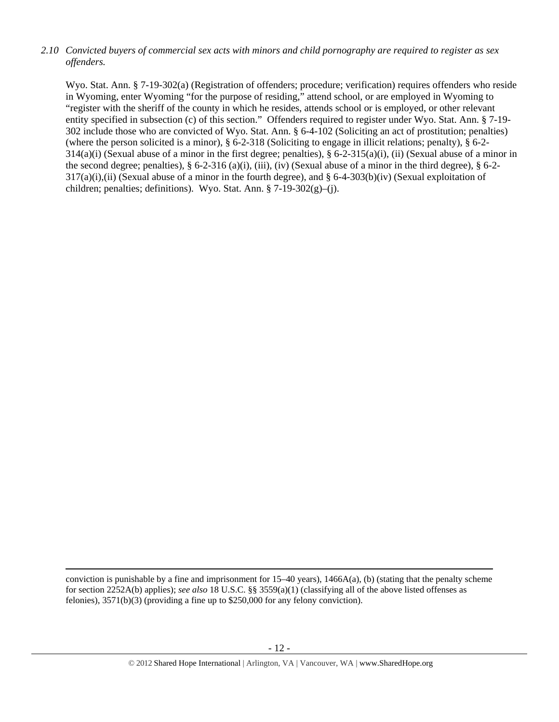# *2.10 Convicted buyers of commercial sex acts with minors and child pornography are required to register as sex offenders.*

Wyo. Stat. Ann. § 7-19-302(a) (Registration of offenders; procedure; verification) requires offenders who reside in Wyoming, enter Wyoming "for the purpose of residing," attend school, or are employed in Wyoming to "register with the sheriff of the county in which he resides, attends school or is employed, or other relevant entity specified in subsection (c) of this section." Offenders required to register under Wyo. Stat. Ann. § 7-19- 302 include those who are convicted of Wyo. Stat. Ann. § 6-4-102 (Soliciting an act of prostitution; penalties) (where the person solicited is a minor), § 6-2-318 (Soliciting to engage in illicit relations; penalty), § 6-2-  $314(a)(i)$  (Sexual abuse of a minor in the first degree; penalties), § 6-2-315(a)(i), (ii) (Sexual abuse of a minor in the second degree; penalties),  $\S 6$ -2-316 (a)(i), (iii), (iv) (Sexual abuse of a minor in the third degree),  $\S 6$ -2- $317(a)(i)$ ,(ii) (Sexual abuse of a minor in the fourth degree), and § 6-4-303(b)(iv) (Sexual exploitation of children; penalties; definitions). Wyo. Stat. Ann. § 7-19-302(g)–(j).

<u> Andreas Andreas Andreas Andreas Andreas Andreas Andreas Andreas Andreas Andreas Andreas Andreas Andreas Andr</u>

conviction is punishable by a fine and imprisonment for  $15-40$  years),  $1466A(a)$ , (b) (stating that the penalty scheme for section 2252A(b) applies); *see also* 18 U.S.C. §§ 3559(a)(1) (classifying all of the above listed offenses as felonies), 3571(b)(3) (providing a fine up to \$250,000 for any felony conviction).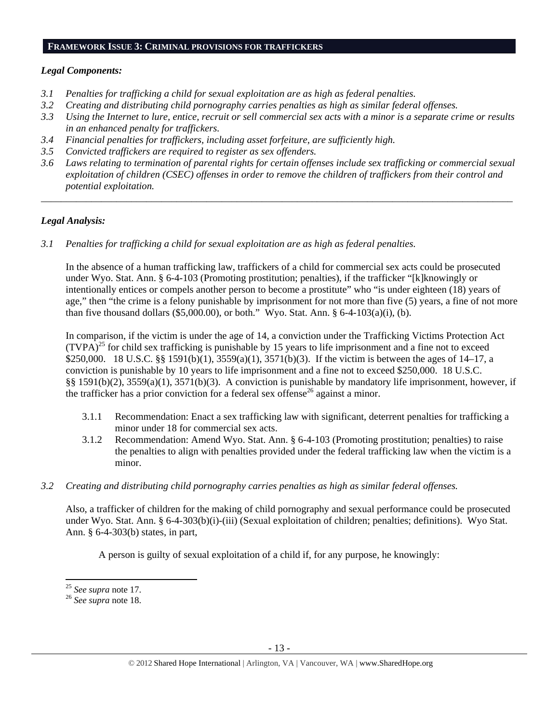#### **FRAMEWORK ISSUE 3: CRIMINAL PROVISIONS FOR TRAFFICKERS**

#### *Legal Components:*

- *3.1 Penalties for trafficking a child for sexual exploitation are as high as federal penalties.*
- *3.2 Creating and distributing child pornography carries penalties as high as similar federal offenses.*
- *3.3 Using the Internet to lure, entice, recruit or sell commercial sex acts with a minor is a separate crime or results in an enhanced penalty for traffickers.*
- *3.4 Financial penalties for traffickers, including asset forfeiture, are sufficiently high.*
- *3.5 Convicted traffickers are required to register as sex offenders.*
- *3.6 Laws relating to termination of parental rights for certain offenses include sex trafficking or commercial sexual exploitation of children (CSEC) offenses in order to remove the children of traffickers from their control and potential exploitation.*

*\_\_\_\_\_\_\_\_\_\_\_\_\_\_\_\_\_\_\_\_\_\_\_\_\_\_\_\_\_\_\_\_\_\_\_\_\_\_\_\_\_\_\_\_\_\_\_\_\_\_\_\_\_\_\_\_\_\_\_\_\_\_\_\_\_\_\_\_\_\_\_\_\_\_\_\_\_\_\_\_\_\_\_\_\_\_\_\_\_\_\_\_\_\_* 

# *Legal Analysis:*

*3.1 Penalties for trafficking a child for sexual exploitation are as high as federal penalties.* 

In the absence of a human trafficking law, traffickers of a child for commercial sex acts could be prosecuted under Wyo. Stat. Ann. § 6-4-103 (Promoting prostitution; penalties), if the trafficker "[k]knowingly or intentionally entices or compels another person to become a prostitute" who "is under eighteen (18) years of age," then "the crime is a felony punishable by imprisonment for not more than five (5) years, a fine of not more than five thousand dollars (\$5,000.00), or both." Wyo. Stat. Ann.  $\S 6-4-103(a)(i)$ , (b).

In comparison, if the victim is under the age of 14, a conviction under the Trafficking Victims Protection Act  $(TVPA)^{25}$  for child sex trafficking is punishable by 15 years to life imprisonment and a fine not to exceed \$250,000. 18 U.S.C. §§ 1591(b)(1), 3559(a)(1), 3571(b)(3). If the victim is between the ages of 14–17, a conviction is punishable by 10 years to life imprisonment and a fine not to exceed \$250,000. 18 U.S.C. §§ 1591(b)(2), 3559(a)(1), 3571(b)(3). A conviction is punishable by mandatory life imprisonment, however, if the trafficker has a prior conviction for a federal sex offense<sup>26</sup> against a minor.

- 3.1.1 Recommendation: Enact a sex trafficking law with significant, deterrent penalties for trafficking a minor under 18 for commercial sex acts.
- 3.1.2 Recommendation: Amend Wyo. Stat. Ann. § 6-4-103 (Promoting prostitution; penalties) to raise the penalties to align with penalties provided under the federal trafficking law when the victim is a minor.
- *3.2 Creating and distributing child pornography carries penalties as high as similar federal offenses.*

Also, a trafficker of children for the making of child pornography and sexual performance could be prosecuted under Wyo. Stat. Ann. § 6-4-303(b)(i)-(iii) (Sexual exploitation of children; penalties; definitions). Wyo Stat. Ann. § 6-4-303(b) states, in part,

A person is guilty of sexual exploitation of a child if, for any purpose, he knowingly:

<sup>25</sup> *See supra* note 17. 26 *See supra* note 18.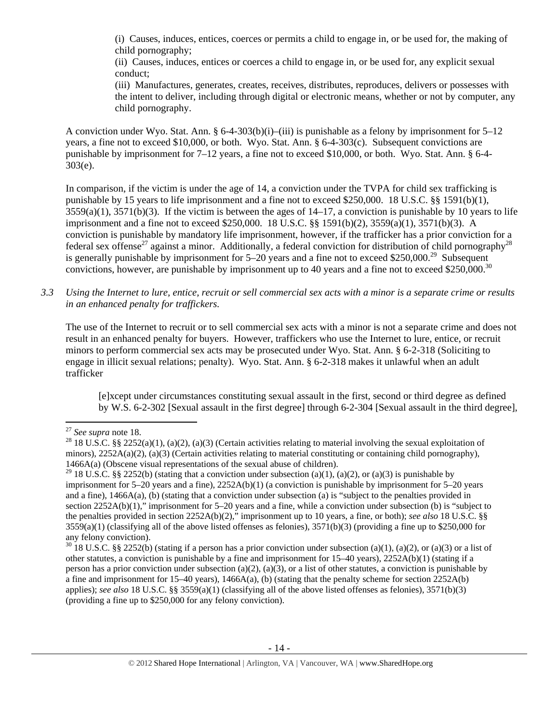(i) Causes, induces, entices, coerces or permits a child to engage in, or be used for, the making of child pornography;

(ii) Causes, induces, entices or coerces a child to engage in, or be used for, any explicit sexual conduct;

(iii) Manufactures, generates, creates, receives, distributes, reproduces, delivers or possesses with the intent to deliver, including through digital or electronic means, whether or not by computer, any child pornography.

A conviction under Wyo. Stat. Ann. § 6-4-303(b)(i)–(iii) is punishable as a felony by imprisonment for 5–12 years, a fine not to exceed \$10,000, or both. Wyo. Stat. Ann. § 6-4-303(c). Subsequent convictions are punishable by imprisonment for 7–12 years, a fine not to exceed \$10,000, or both. Wyo. Stat. Ann. § 6-4- 303(e).

In comparison, if the victim is under the age of 14, a conviction under the TVPA for child sex trafficking is punishable by 15 years to life imprisonment and a fine not to exceed \$250,000. 18 U.S.C. §§ 1591(b)(1),  $3559(a)(1)$ ,  $3571(b)(3)$ . If the victim is between the ages of  $14-17$ , a conviction is punishable by 10 years to life imprisonment and a fine not to exceed \$250,000. 18 U.S.C. §§ 1591(b)(2), 3559(a)(1), 3571(b)(3). A conviction is punishable by mandatory life imprisonment, however, if the trafficker has a prior conviction for a federal sex offense<sup>27</sup> against a minor. Additionally, a federal conviction for distribution of child pornography<sup>28</sup> is generally punishable by imprisonment for  $5-20$  years and a fine not to exceed \$250,000.<sup>29</sup> Subsequent convictions, however, are punishable by imprisonment up to 40 years and a fine not to exceed \$250,000.<sup>30</sup>

*3.3 Using the Internet to lure, entice, recruit or sell commercial sex acts with a minor is a separate crime or results in an enhanced penalty for traffickers.* 

The use of the Internet to recruit or to sell commercial sex acts with a minor is not a separate crime and does not result in an enhanced penalty for buyers. However, traffickers who use the Internet to lure, entice, or recruit minors to perform commercial sex acts may be prosecuted under Wyo. Stat. Ann. § 6-2-318 (Soliciting to engage in illicit sexual relations; penalty). Wyo. Stat. Ann. § 6-2-318 makes it unlawful when an adult trafficker

[e]xcept under circumstances constituting sexual assault in the first, second or third degree as defined by W.S. 6-2-302 [Sexual assault in the first degree] through 6-2-304 [Sexual assault in the third degree],

<sup>&</sup>lt;sup>27</sup> *See supra* note 18.<br><sup>28</sup> 18 U.S.C. §§ 2252(a)(1), (a)(2), (a)(3) (Certain activities relating to material involving the sexual exploitation of minors),  $2252A(a)(2)$ , (a)(3) (Certain activities relating to material constituting or containing child pornography), 1466A(a) (Obscene visual representations of the sexual abuse of children).

<sup>&</sup>lt;sup>29</sup> 18 U.S.C. §§ 2252(b) (stating that a conviction under subsection (a)(1), (a)(2), or (a)(3) is punishable by imprisonment for 5–20 years and a fine), 2252A(b)(1) (a conviction is punishable by imprisonment for 5–20 years and a fine), 1466A(a), (b) (stating that a conviction under subsection (a) is "subject to the penalties provided in section 2252A(b)(1)," imprisonment for 5–20 years and a fine, while a conviction under subsection (b) is "subject to the penalties provided in section 2252A(b)(2)," imprisonment up to 10 years, a fine, or both); *see also* 18 U.S.C. §§  $3559(a)(1)$  (classifying all of the above listed offenses as felonies),  $3571(b)(3)$  (providing a fine up to \$250,000 for any felony conviction).

 $30\,$  18 U.S.C. §§ 2252(b) (stating if a person has a prior conviction under subsection (a)(1), (a)(2), or (a)(3) or a list of other statutes, a conviction is punishable by a fine and imprisonment for 15–40 years), 2252A(b)(1) (stating if a person has a prior conviction under subsection (a)(2), (a)(3), or a list of other statutes, a conviction is punishable by a fine and imprisonment for 15–40 years), 1466A(a), (b) (stating that the penalty scheme for section 2252A(b) applies); *see also* 18 U.S.C. §§ 3559(a)(1) (classifying all of the above listed offenses as felonies), 3571(b)(3) (providing a fine up to \$250,000 for any felony conviction).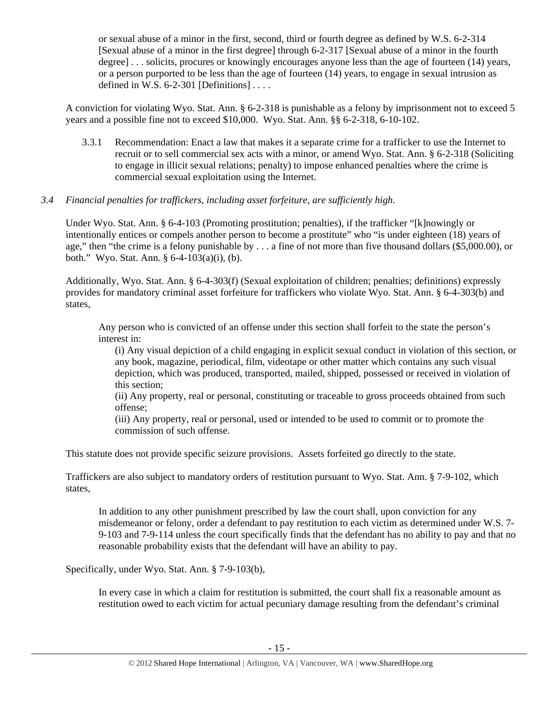or sexual abuse of a minor in the first, second, third or fourth degree as defined by W.S. 6-2-314 [Sexual abuse of a minor in the first degree] through 6-2-317 [Sexual abuse of a minor in the fourth degree] . . . solicits, procures or knowingly encourages anyone less than the age of fourteen (14) years, or a person purported to be less than the age of fourteen (14) years, to engage in sexual intrusion as defined in W.S. 6-2-301 [Definitions]  $\dots$ 

A conviction for violating Wyo. Stat. Ann. § 6-2-318 is punishable as a felony by imprisonment not to exceed 5 years and a possible fine not to exceed \$10,000. Wyo. Stat. Ann. §§ 6-2-318, 6-10-102.

3.3.1 Recommendation: Enact a law that makes it a separate crime for a trafficker to use the Internet to recruit or to sell commercial sex acts with a minor, or amend Wyo. Stat. Ann. § 6-2-318 (Soliciting to engage in illicit sexual relations; penalty) to impose enhanced penalties where the crime is commercial sexual exploitation using the Internet.

# *3.4 Financial penalties for traffickers, including asset forfeiture, are sufficiently high.*

Under Wyo. Stat. Ann. § 6-4-103 (Promoting prostitution; penalties), if the trafficker "[k]nowingly or intentionally entices or compels another person to become a prostitute" who "is under eighteen (18) years of age," then "the crime is a felony punishable by . . . a fine of not more than five thousand dollars (\$5,000.00), or both." Wyo. Stat. Ann. § 6-4-103(a)(i), (b).

Additionally, Wyo. Stat. Ann. § 6-4-303(f) (Sexual exploitation of children; penalties; definitions) expressly provides for mandatory criminal asset forfeiture for traffickers who violate Wyo. Stat. Ann. § 6-4-303(b) and states,

Any person who is convicted of an offense under this section shall forfeit to the state the person's interest in:

(i) Any visual depiction of a child engaging in explicit sexual conduct in violation of this section, or any book, magazine, periodical, film, videotape or other matter which contains any such visual depiction, which was produced, transported, mailed, shipped, possessed or received in violation of this section;

(ii) Any property, real or personal, constituting or traceable to gross proceeds obtained from such offense;

(iii) Any property, real or personal, used or intended to be used to commit or to promote the commission of such offense.

This statute does not provide specific seizure provisions. Assets forfeited go directly to the state.

Traffickers are also subject to mandatory orders of restitution pursuant to Wyo. Stat. Ann. § 7-9-102, which states,

In addition to any other punishment prescribed by law the court shall, upon conviction for any misdemeanor or felony, order a defendant to pay restitution to each victim as determined under W.S. 7- 9-103 and 7-9-114 unless the court specifically finds that the defendant has no ability to pay and that no reasonable probability exists that the defendant will have an ability to pay.

Specifically, under Wyo. Stat. Ann. § 7-9-103(b),

In every case in which a claim for restitution is submitted, the court shall fix a reasonable amount as restitution owed to each victim for actual pecuniary damage resulting from the defendant's criminal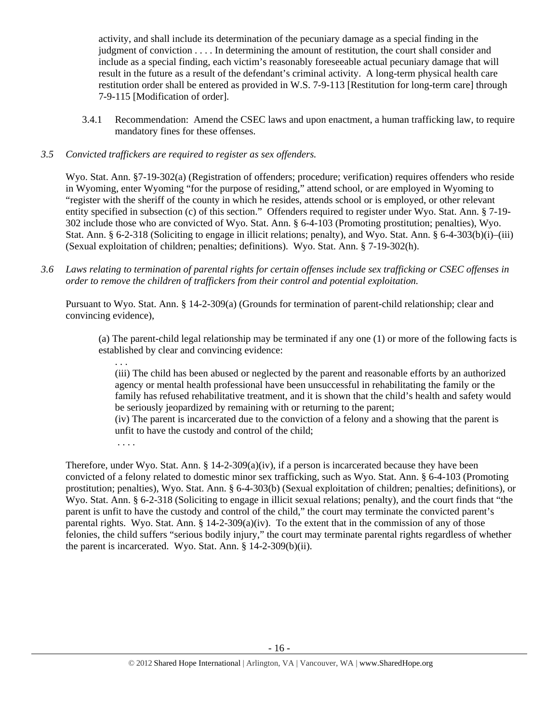activity, and shall include its determination of the pecuniary damage as a special finding in the judgment of conviction . . . . In determining the amount of restitution, the court shall consider and include as a special finding, each victim's reasonably foreseeable actual pecuniary damage that will result in the future as a result of the defendant's criminal activity. A long-term physical health care restitution order shall be entered as provided in W.S. 7-9-113 [Restitution for long-term care] through 7-9-115 [Modification of order].

3.4.1 Recommendation: Amend the CSEC laws and upon enactment, a human trafficking law, to require mandatory fines for these offenses.

# *3.5 Convicted traffickers are required to register as sex offenders.*

Wyo. Stat. Ann. §7-19-302(a) (Registration of offenders; procedure; verification) requires offenders who reside in Wyoming, enter Wyoming "for the purpose of residing," attend school, or are employed in Wyoming to "register with the sheriff of the county in which he resides, attends school or is employed, or other relevant entity specified in subsection (c) of this section." Offenders required to register under Wyo. Stat. Ann. § 7-19- 302 include those who are convicted of Wyo. Stat. Ann. § 6-4-103 (Promoting prostitution; penalties), Wyo. Stat. Ann. § 6-2-318 (Soliciting to engage in illicit relations; penalty), and Wyo. Stat. Ann. § 6-4-303(b)(i)–(iii) (Sexual exploitation of children; penalties; definitions). Wyo. Stat. Ann. § 7-19-302(h).

*3.6 Laws relating to termination of parental rights for certain offenses include sex trafficking or CSEC offenses in order to remove the children of traffickers from their control and potential exploitation.* 

Pursuant to Wyo. Stat. Ann. § 14-2-309(a) (Grounds for termination of parent-child relationship; clear and convincing evidence),

(a) The parent-child legal relationship may be terminated if any one (1) or more of the following facts is established by clear and convincing evidence:

. . .

. . . .

(iii) The child has been abused or neglected by the parent and reasonable efforts by an authorized agency or mental health professional have been unsuccessful in rehabilitating the family or the family has refused rehabilitative treatment, and it is shown that the child's health and safety would be seriously jeopardized by remaining with or returning to the parent;

(iv) The parent is incarcerated due to the conviction of a felony and a showing that the parent is unfit to have the custody and control of the child;

Therefore, under Wyo. Stat. Ann.  $\S 14$ -2-309(a)(iv), if a person is incarcerated because they have been convicted of a felony related to domestic minor sex trafficking, such as Wyo. Stat. Ann. § 6-4-103 (Promoting prostitution; penalties), Wyo. Stat. Ann. § 6-4-303(b) (Sexual exploitation of children; penalties; definitions), or Wyo. Stat. Ann. § 6-2-318 (Soliciting to engage in illicit sexual relations; penalty), and the court finds that "the parent is unfit to have the custody and control of the child," the court may terminate the convicted parent's parental rights. Wyo. Stat. Ann.  $\S$  14-2-309(a)(iv). To the extent that in the commission of any of those felonies, the child suffers "serious bodily injury," the court may terminate parental rights regardless of whether the parent is incarcerated. Wyo. Stat. Ann. § 14-2-309(b)(ii).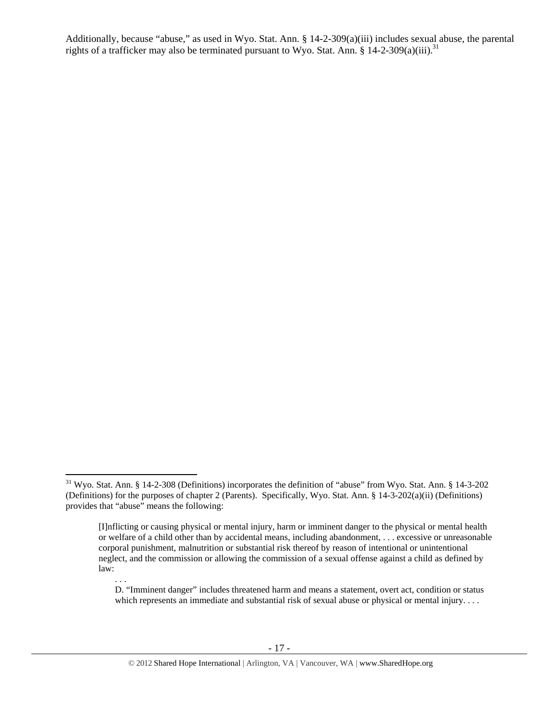Additionally, because "abuse," as used in Wyo. Stat. Ann. § 14-2-309(a)(iii) includes sexual abuse, the parental rights of a trafficker may also be terminated pursuant to Wyo. Stat. Ann. § 14-2-309(a)(iii).<sup>31</sup>

<sup>&</sup>lt;sup>31</sup> Wyo. Stat. Ann. § 14-2-308 (Definitions) incorporates the definition of "abuse" from Wyo. Stat. Ann. § 14-3-202 (Definitions) for the purposes of chapter 2 (Parents). Specifically, Wyo. Stat. Ann. § 14-3-202(a)(ii) (Definitions) provides that "abuse" means the following:

<sup>[</sup>I]nflicting or causing physical or mental injury, harm or imminent danger to the physical or mental health or welfare of a child other than by accidental means, including abandonment, . . . excessive or unreasonable corporal punishment, malnutrition or substantial risk thereof by reason of intentional or unintentional neglect, and the commission or allowing the commission of a sexual offense against a child as defined by law:

<sup>. . .</sup>  D. "Imminent danger" includes threatened harm and means a statement, overt act, condition or status which represents an immediate and substantial risk of sexual abuse or physical or mental injury. . . .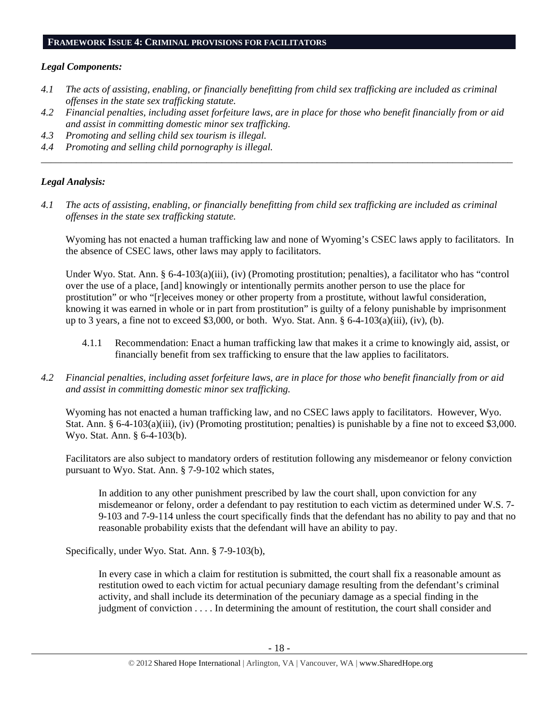#### **FRAMEWORK ISSUE 4: CRIMINAL PROVISIONS FOR FACILITATORS**

#### *Legal Components:*

- *4.1 The acts of assisting, enabling, or financially benefitting from child sex trafficking are included as criminal offenses in the state sex trafficking statute.*
- *4.2 Financial penalties, including asset forfeiture laws, are in place for those who benefit financially from or aid and assist in committing domestic minor sex trafficking.*

*\_\_\_\_\_\_\_\_\_\_\_\_\_\_\_\_\_\_\_\_\_\_\_\_\_\_\_\_\_\_\_\_\_\_\_\_\_\_\_\_\_\_\_\_\_\_\_\_\_\_\_\_\_\_\_\_\_\_\_\_\_\_\_\_\_\_\_\_\_\_\_\_\_\_\_\_\_\_\_\_\_\_\_\_\_\_\_\_\_\_\_\_\_\_* 

- *4.3 Promoting and selling child sex tourism is illegal.*
- *4.4 Promoting and selling child pornography is illegal.*

# *Legal Analysis:*

*4.1 The acts of assisting, enabling, or financially benefitting from child sex trafficking are included as criminal offenses in the state sex trafficking statute.* 

Wyoming has not enacted a human trafficking law and none of Wyoming's CSEC laws apply to facilitators. In the absence of CSEC laws, other laws may apply to facilitators.

Under Wyo. Stat. Ann. § 6-4-103(a)(iii), (iv) (Promoting prostitution; penalties), a facilitator who has "control over the use of a place, [and] knowingly or intentionally permits another person to use the place for prostitution" or who "[r]eceives money or other property from a prostitute, without lawful consideration, knowing it was earned in whole or in part from prostitution" is guilty of a felony punishable by imprisonment up to 3 years, a fine not to exceed \$3,000, or both. Wyo. Stat. Ann.  $\S 6-4-103(a)(iii)$ , (iv), (b).

- 4.1.1 Recommendation: Enact a human trafficking law that makes it a crime to knowingly aid, assist, or financially benefit from sex trafficking to ensure that the law applies to facilitators.
- *4.2 Financial penalties, including asset forfeiture laws, are in place for those who benefit financially from or aid and assist in committing domestic minor sex trafficking.*

Wyoming has not enacted a human trafficking law, and no CSEC laws apply to facilitators. However, Wyo. Stat. Ann. § 6-4-103(a)(iii), (iv) (Promoting prostitution; penalties) is punishable by a fine not to exceed \$3,000. Wyo. Stat. Ann. § 6-4-103(b).

Facilitators are also subject to mandatory orders of restitution following any misdemeanor or felony conviction pursuant to Wyo. Stat. Ann. § 7-9-102 which states,

In addition to any other punishment prescribed by law the court shall, upon conviction for any misdemeanor or felony, order a defendant to pay restitution to each victim as determined under W.S. 7- 9-103 and 7-9-114 unless the court specifically finds that the defendant has no ability to pay and that no reasonable probability exists that the defendant will have an ability to pay.

Specifically, under Wyo. Stat. Ann. § 7-9-103(b),

In every case in which a claim for restitution is submitted, the court shall fix a reasonable amount as restitution owed to each victim for actual pecuniary damage resulting from the defendant's criminal activity, and shall include its determination of the pecuniary damage as a special finding in the judgment of conviction . . . . In determining the amount of restitution, the court shall consider and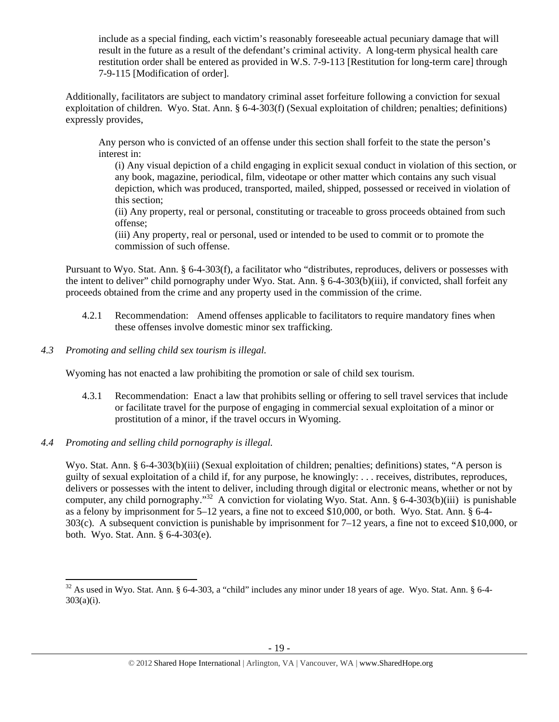include as a special finding, each victim's reasonably foreseeable actual pecuniary damage that will result in the future as a result of the defendant's criminal activity. A long-term physical health care restitution order shall be entered as provided in W.S. 7-9-113 [Restitution for long-term care] through 7-9-115 [Modification of order].

Additionally, facilitators are subject to mandatory criminal asset forfeiture following a conviction for sexual exploitation of children. Wyo. Stat. Ann. § 6-4-303(f) (Sexual exploitation of children; penalties; definitions) expressly provides,

Any person who is convicted of an offense under this section shall forfeit to the state the person's interest in:

(i) Any visual depiction of a child engaging in explicit sexual conduct in violation of this section, or any book, magazine, periodical, film, videotape or other matter which contains any such visual depiction, which was produced, transported, mailed, shipped, possessed or received in violation of this section;

(ii) Any property, real or personal, constituting or traceable to gross proceeds obtained from such offense;

(iii) Any property, real or personal, used or intended to be used to commit or to promote the commission of such offense.

Pursuant to Wyo. Stat. Ann. § 6-4-303(f), a facilitator who "distributes, reproduces, delivers or possesses with the intent to deliver" child pornography under Wyo. Stat. Ann. § 6-4-303(b)(iii), if convicted, shall forfeit any proceeds obtained from the crime and any property used in the commission of the crime.

- 4.2.1 Recommendation: Amend offenses applicable to facilitators to require mandatory fines when these offenses involve domestic minor sex trafficking.
- *4.3 Promoting and selling child sex tourism is illegal.*

Wyoming has not enacted a law prohibiting the promotion or sale of child sex tourism.

- 4.3.1 Recommendation: Enact a law that prohibits selling or offering to sell travel services that include or facilitate travel for the purpose of engaging in commercial sexual exploitation of a minor or prostitution of a minor, if the travel occurs in Wyoming.
- *4.4 Promoting and selling child pornography is illegal.*

Wyo. Stat. Ann. § 6-4-303(b)(iii) (Sexual exploitation of children; penalties; definitions) states, "A person is guilty of sexual exploitation of a child if, for any purpose, he knowingly: . . . receives, distributes, reproduces, delivers or possesses with the intent to deliver, including through digital or electronic means, whether or not by computer, any child pornography."32 A conviction for violating Wyo. Stat. Ann. § 6-4-303(b)(iii) is punishable as a felony by imprisonment for 5–12 years, a fine not to exceed \$10,000, or both. Wyo. Stat. Ann. § 6-4- 303(c). A subsequent conviction is punishable by imprisonment for 7–12 years, a fine not to exceed \$10,000, or both. Wyo. Stat. Ann. § 6-4-303(e).

 $32$  As used in Wyo. Stat. Ann. § 6-4-303, a "child" includes any minor under 18 years of age. Wyo. Stat. Ann. § 6-4-303(a)(i).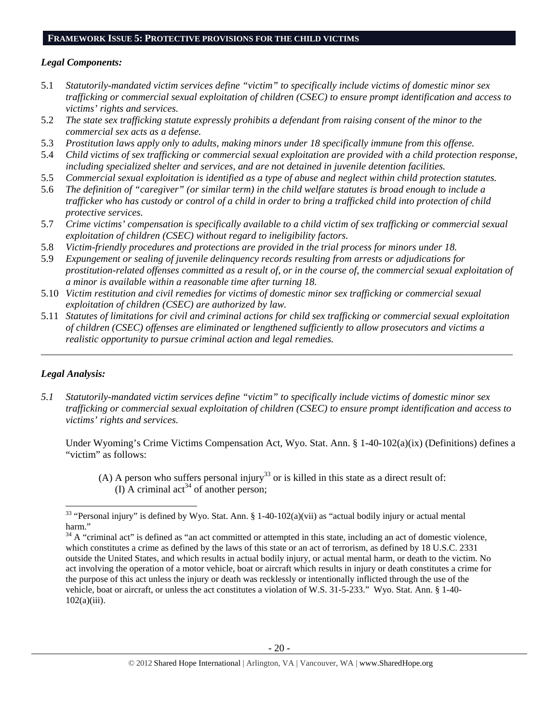#### **FRAMEWORK ISSUE 5: PROTECTIVE PROVISIONS FOR THE CHILD VICTIMS**

#### *Legal Components:*

- 5.1 *Statutorily-mandated victim services define "victim" to specifically include victims of domestic minor sex trafficking or commercial sexual exploitation of children (CSEC) to ensure prompt identification and access to victims' rights and services.*
- 5.2 *The state sex trafficking statute expressly prohibits a defendant from raising consent of the minor to the commercial sex acts as a defense.*
- 5.3 *Prostitution laws apply only to adults, making minors under 18 specifically immune from this offense.*
- 5.4 *Child victims of sex trafficking or commercial sexual exploitation are provided with a child protection response, including specialized shelter and services, and are not detained in juvenile detention facilities.*
- 5.5 *Commercial sexual exploitation is identified as a type of abuse and neglect within child protection statutes.*
- 5.6 *The definition of "caregiver" (or similar term) in the child welfare statutes is broad enough to include a trafficker who has custody or control of a child in order to bring a trafficked child into protection of child protective services.*
- 5.7 *Crime victims' compensation is specifically available to a child victim of sex trafficking or commercial sexual exploitation of children (CSEC) without regard to ineligibility factors.*
- 5.8 *Victim-friendly procedures and protections are provided in the trial process for minors under 18.*
- 5.9 *Expungement or sealing of juvenile delinquency records resulting from arrests or adjudications for prostitution-related offenses committed as a result of, or in the course of, the commercial sexual exploitation of a minor is available within a reasonable time after turning 18.*
- 5.10 *Victim restitution and civil remedies for victims of domestic minor sex trafficking or commercial sexual exploitation of children (CSEC) are authorized by law.*
- 5.11 *Statutes of limitations for civil and criminal actions for child sex trafficking or commercial sexual exploitation of children (CSEC) offenses are eliminated or lengthened sufficiently to allow prosecutors and victims a realistic opportunity to pursue criminal action and legal remedies.*

*\_\_\_\_\_\_\_\_\_\_\_\_\_\_\_\_\_\_\_\_\_\_\_\_\_\_\_\_\_\_\_\_\_\_\_\_\_\_\_\_\_\_\_\_\_\_\_\_\_\_\_\_\_\_\_\_\_\_\_\_\_\_\_\_\_\_\_\_\_\_\_\_\_\_\_\_\_\_\_\_\_\_\_\_\_\_\_\_\_\_\_\_\_\_* 

# *Legal Analysis:*

*5.1 Statutorily-mandated victim services define "victim" to specifically include victims of domestic minor sex trafficking or commercial sexual exploitation of children (CSEC) to ensure prompt identification and access to victims' rights and services.* 

Under Wyoming's Crime Victims Compensation Act, Wyo. Stat. Ann. § 1-40-102(a)(ix) (Definitions) defines a "victim" as follows:

(A) A person who suffers personal injury<sup>33</sup> or is killed in this state as a direct result of: (I) A criminal act<sup>34</sup> of another person;

<sup>&</sup>lt;sup>33</sup> "Personal injury" is defined by Wyo. Stat. Ann. § 1-40-102(a)(vii) as "actual bodily injury or actual mental harm."

 $34$  A "criminal act" is defined as "an act committed or attempted in this state, including an act of domestic violence, which constitutes a crime as defined by the laws of this state or an act of terrorism, as defined by 18 U.S.C. 2331 outside the United States, and which results in actual bodily injury, or actual mental harm, or death to the victim. No act involving the operation of a motor vehicle, boat or aircraft which results in injury or death constitutes a crime for the purpose of this act unless the injury or death was recklessly or intentionally inflicted through the use of the vehicle, boat or aircraft, or unless the act constitutes a violation of W.S. 31-5-233." Wyo. Stat. Ann. § 1-40- 102(a)(iii).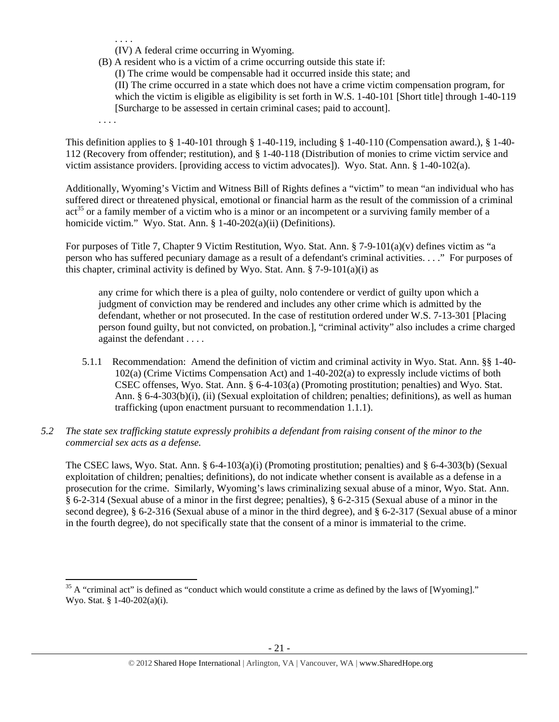. . . .

- (IV) A federal crime occurring in Wyoming.
- (B) A resident who is a victim of a crime occurring outside this state if:
	- (I) The crime would be compensable had it occurred inside this state; and

(II) The crime occurred in a state which does not have a crime victim compensation program, for which the victim is eligible as eligibility is set forth in W.S. 1-40-101 [Short title] through 1-40-119 [Surcharge to be assessed in certain criminal cases; paid to account].

. . . .

This definition applies to  $\S 1-40-101$  through  $\S 1-40-119$ , including  $\S 1-40-110$  (Compensation award.),  $\S 1-40-101$ 112 (Recovery from offender; restitution), and § 1-40-118 (Distribution of monies to crime victim service and victim assistance providers. [providing access to victim advocates]). Wyo. Stat. Ann. § 1-40-102(a).

Additionally, Wyoming's Victim and Witness Bill of Rights defines a "victim" to mean "an individual who has suffered direct or threatened physical, emotional or financial harm as the result of the commission of a criminal  $act<sup>35</sup>$  or a family member of a victim who is a minor or an incompetent or a surviving family member of a homicide victim." Wyo. Stat. Ann. § 1-40-202(a)(ii) (Definitions).

For purposes of Title 7, Chapter 9 Victim Restitution, Wyo. Stat. Ann. § 7-9-101(a)(v) defines victim as "a person who has suffered pecuniary damage as a result of a defendant's criminal activities. . . ." For purposes of this chapter, criminal activity is defined by Wyo. Stat. Ann.  $\S$  7-9-101(a)(i) as

any crime for which there is a plea of guilty, nolo contendere or verdict of guilty upon which a judgment of conviction may be rendered and includes any other crime which is admitted by the defendant, whether or not prosecuted. In the case of restitution ordered under W.S. 7-13-301 [Placing person found guilty, but not convicted, on probation.], "criminal activity" also includes a crime charged against the defendant . . . .

- 5.1.1 Recommendation: Amend the definition of victim and criminal activity in Wyo. Stat. Ann. §§ 1-40- 102(a) (Crime Victims Compensation Act) and 1-40-202(a) to expressly include victims of both CSEC offenses, Wyo. Stat. Ann. § 6-4-103(a) (Promoting prostitution; penalties) and Wyo. Stat. Ann. § 6-4-303(b)(i), (ii) (Sexual exploitation of children; penalties; definitions), as well as human trafficking (upon enactment pursuant to recommendation 1.1.1).
- *5.2 The state sex trafficking statute expressly prohibits a defendant from raising consent of the minor to the commercial sex acts as a defense.*

The CSEC laws, Wyo. Stat. Ann. § 6-4-103(a)(i) (Promoting prostitution; penalties) and § 6-4-303(b) (Sexual exploitation of children; penalties; definitions), do not indicate whether consent is available as a defense in a prosecution for the crime. Similarly, Wyoming's laws criminalizing sexual abuse of a minor, Wyo. Stat. Ann. § 6-2-314 (Sexual abuse of a minor in the first degree; penalties), § 6-2-315 (Sexual abuse of a minor in the second degree), § 6-2-316 (Sexual abuse of a minor in the third degree), and § 6-2-317 (Sexual abuse of a minor in the fourth degree), do not specifically state that the consent of a minor is immaterial to the crime.

<sup>&</sup>lt;sup>35</sup> A "criminal act" is defined as "conduct which would constitute a crime as defined by the laws of [Wyoming]." Wyo. Stat. § 1-40-202(a)(i).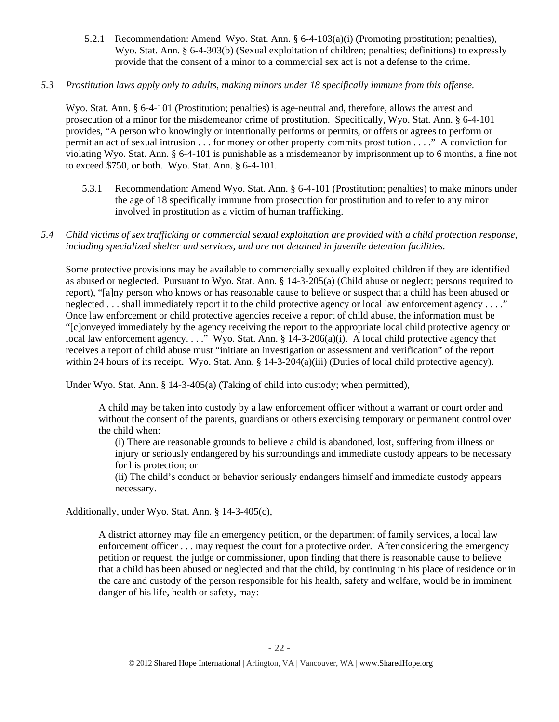5.2.1 Recommendation: Amend Wyo. Stat. Ann. § 6-4-103(a)(i) (Promoting prostitution; penalties), Wyo. Stat. Ann. § 6-4-303(b) (Sexual exploitation of children; penalties; definitions) to expressly provide that the consent of a minor to a commercial sex act is not a defense to the crime.

# *5.3 Prostitution laws apply only to adults, making minors under 18 specifically immune from this offense.*

Wyo. Stat. Ann. § 6-4-101 (Prostitution; penalties) is age-neutral and, therefore, allows the arrest and prosecution of a minor for the misdemeanor crime of prostitution. Specifically, Wyo. Stat. Ann. § 6-4-101 provides, "A person who knowingly or intentionally performs or permits, or offers or agrees to perform or permit an act of sexual intrusion . . . for money or other property commits prostitution . . . ." A conviction for violating Wyo. Stat. Ann. § 6-4-101 is punishable as a misdemeanor by imprisonment up to 6 months, a fine not to exceed \$750, or both. Wyo. Stat. Ann. § 6-4-101.

- 5.3.1 Recommendation: Amend Wyo. Stat. Ann. § 6-4-101 (Prostitution; penalties) to make minors under the age of 18 specifically immune from prosecution for prostitution and to refer to any minor involved in prostitution as a victim of human trafficking.
- *5.4 Child victims of sex trafficking or commercial sexual exploitation are provided with a child protection response, including specialized shelter and services, and are not detained in juvenile detention facilities.*

Some protective provisions may be available to commercially sexually exploited children if they are identified as abused or neglected. Pursuant to Wyo. Stat. Ann. § 14-3-205(a) (Child abuse or neglect; persons required to report), "[a]ny person who knows or has reasonable cause to believe or suspect that a child has been abused or neglected . . . shall immediately report it to the child protective agency or local law enforcement agency . . . ." Once law enforcement or child protective agencies receive a report of child abuse, the information must be "[c]onveyed immediately by the agency receiving the report to the appropriate local child protective agency or local law enforcement agency. . . . " Wyo. Stat. Ann. § 14-3-206(a)(i). A local child protective agency that receives a report of child abuse must "initiate an investigation or assessment and verification" of the report within 24 hours of its receipt. Wyo. Stat. Ann. § 14-3-204(a)(iii) (Duties of local child protective agency).

Under Wyo. Stat. Ann. § 14-3-405(a) (Taking of child into custody; when permitted),

A child may be taken into custody by a law enforcement officer without a warrant or court order and without the consent of the parents, guardians or others exercising temporary or permanent control over the child when:

(i) There are reasonable grounds to believe a child is abandoned, lost, suffering from illness or injury or seriously endangered by his surroundings and immediate custody appears to be necessary for his protection; or

(ii) The child's conduct or behavior seriously endangers himself and immediate custody appears necessary.

Additionally, under Wyo. Stat. Ann. § 14-3-405(c),

A district attorney may file an emergency petition, or the department of family services, a local law enforcement officer . . . may request the court for a protective order. After considering the emergency petition or request, the judge or commissioner, upon finding that there is reasonable cause to believe that a child has been abused or neglected and that the child, by continuing in his place of residence or in the care and custody of the person responsible for his health, safety and welfare, would be in imminent danger of his life, health or safety, may: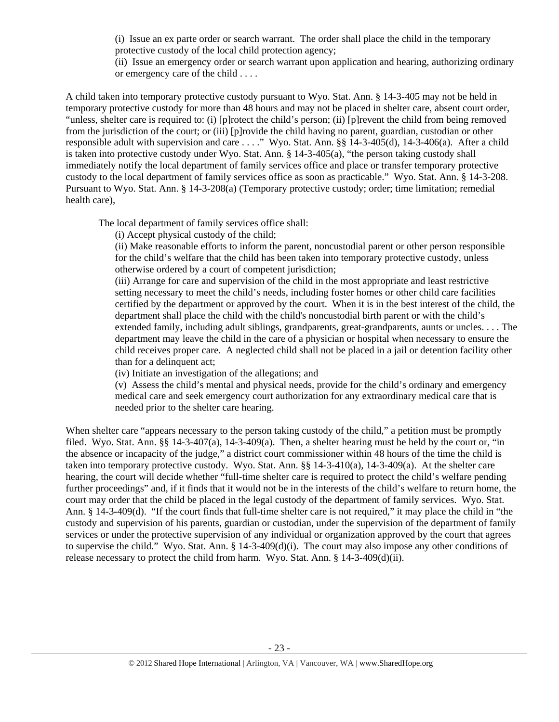(i) Issue an ex parte order or search warrant. The order shall place the child in the temporary protective custody of the local child protection agency;

(ii) Issue an emergency order or search warrant upon application and hearing, authorizing ordinary or emergency care of the child . . . .

A child taken into temporary protective custody pursuant to Wyo. Stat. Ann. § 14-3-405 may not be held in temporary protective custody for more than 48 hours and may not be placed in shelter care, absent court order, "unless, shelter care is required to: (i) [p]rotect the child's person; (ii) [p]revent the child from being removed from the jurisdiction of the court; or (iii) [p]rovide the child having no parent, guardian, custodian or other responsible adult with supervision and care . . . ." Wyo. Stat. Ann. §§ 14-3-405(d), 14-3-406(a). After a child is taken into protective custody under Wyo. Stat. Ann. § 14-3-405(a), "the person taking custody shall immediately notify the local department of family services office and place or transfer temporary protective custody to the local department of family services office as soon as practicable." Wyo. Stat. Ann. § 14-3-208. Pursuant to Wyo. Stat. Ann. § 14-3-208(a) (Temporary protective custody; order; time limitation; remedial health care),

The local department of family services office shall:

(i) Accept physical custody of the child;

(ii) Make reasonable efforts to inform the parent, noncustodial parent or other person responsible for the child's welfare that the child has been taken into temporary protective custody, unless otherwise ordered by a court of competent jurisdiction;

(iii) Arrange for care and supervision of the child in the most appropriate and least restrictive setting necessary to meet the child's needs, including foster homes or other child care facilities certified by the department or approved by the court. When it is in the best interest of the child, the department shall place the child with the child's noncustodial birth parent or with the child's extended family, including adult siblings, grandparents, great-grandparents, aunts or uncles. . . . The department may leave the child in the care of a physician or hospital when necessary to ensure the child receives proper care. A neglected child shall not be placed in a jail or detention facility other than for a delinquent act;

(iv) Initiate an investigation of the allegations; and

(v) Assess the child's mental and physical needs, provide for the child's ordinary and emergency medical care and seek emergency court authorization for any extraordinary medical care that is needed prior to the shelter care hearing.

When shelter care "appears necessary to the person taking custody of the child," a petition must be promptly filed. Wyo. Stat. Ann. §§ 14-3-407(a), 14-3-409(a). Then, a shelter hearing must be held by the court or, "in the absence or incapacity of the judge," a district court commissioner within 48 hours of the time the child is taken into temporary protective custody. Wyo. Stat. Ann. §§ 14-3-410(a), 14-3-409(a). At the shelter care hearing, the court will decide whether "full-time shelter care is required to protect the child's welfare pending further proceedings" and, if it finds that it would not be in the interests of the child's welfare to return home, the court may order that the child be placed in the legal custody of the department of family services. Wyo. Stat. Ann. § 14-3-409(d). "If the court finds that full-time shelter care is not required," it may place the child in "the custody and supervision of his parents, guardian or custodian, under the supervision of the department of family services or under the protective supervision of any individual or organization approved by the court that agrees to supervise the child." Wyo. Stat. Ann.  $\S 14-3-409(d)(i)$ . The court may also impose any other conditions of release necessary to protect the child from harm. Wyo. Stat. Ann. § 14-3-409(d)(ii).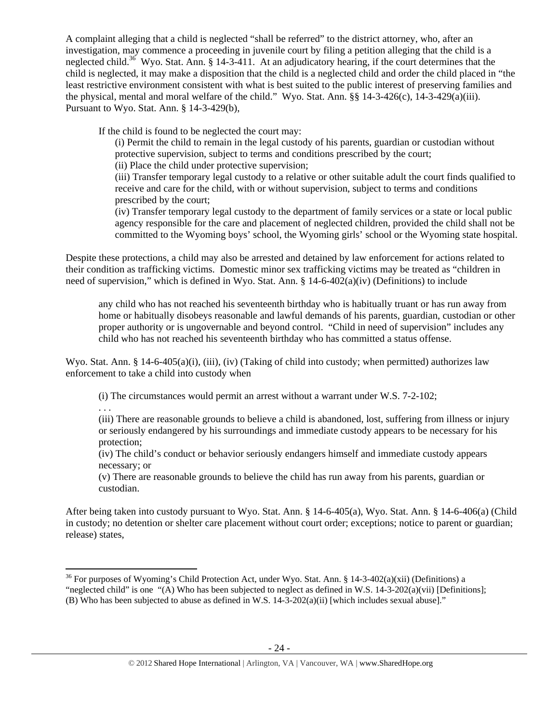A complaint alleging that a child is neglected "shall be referred" to the district attorney, who, after an investigation, may commence a proceeding in juvenile court by filing a petition alleging that the child is a neglected child.<sup>36</sup> Wyo. Stat. Ann. § 14-3-411. At an adjudicatory hearing, if the court determines that the child is neglected, it may make a disposition that the child is a neglected child and order the child placed in "the least restrictive environment consistent with what is best suited to the public interest of preserving families and the physical, mental and moral welfare of the child." Wyo. Stat. Ann. §§ 14-3-426(c), 14-3-429(a)(iii). Pursuant to Wyo. Stat. Ann. § 14-3-429(b),

If the child is found to be neglected the court may:

(i) Permit the child to remain in the legal custody of his parents, guardian or custodian without protective supervision, subject to terms and conditions prescribed by the court;

(ii) Place the child under protective supervision;

(iii) Transfer temporary legal custody to a relative or other suitable adult the court finds qualified to receive and care for the child, with or without supervision, subject to terms and conditions prescribed by the court;

(iv) Transfer temporary legal custody to the department of family services or a state or local public agency responsible for the care and placement of neglected children, provided the child shall not be committed to the Wyoming boys' school, the Wyoming girls' school or the Wyoming state hospital.

Despite these protections, a child may also be arrested and detained by law enforcement for actions related to their condition as trafficking victims. Domestic minor sex trafficking victims may be treated as "children in need of supervision," which is defined in Wyo. Stat. Ann. § 14-6-402(a)(iv) (Definitions) to include

any child who has not reached his seventeenth birthday who is habitually truant or has run away from home or habitually disobeys reasonable and lawful demands of his parents, guardian, custodian or other proper authority or is ungovernable and beyond control. "Child in need of supervision" includes any child who has not reached his seventeenth birthday who has committed a status offense.

Wyo. Stat. Ann. § 14-6-405(a)(i), (iii), (iv) (Taking of child into custody; when permitted) authorizes law enforcement to take a child into custody when

(i) The circumstances would permit an arrest without a warrant under W.S. 7-2-102;

. . .

(iii) There are reasonable grounds to believe a child is abandoned, lost, suffering from illness or injury or seriously endangered by his surroundings and immediate custody appears to be necessary for his protection;

(iv) The child's conduct or behavior seriously endangers himself and immediate custody appears necessary; or

(v) There are reasonable grounds to believe the child has run away from his parents, guardian or custodian.

After being taken into custody pursuant to Wyo. Stat. Ann. § 14-6-405(a), Wyo. Stat. Ann. § 14-6-406(a) (Child in custody; no detention or shelter care placement without court order; exceptions; notice to parent or guardian; release) states,

<sup>&</sup>lt;sup>36</sup> For purposes of Wyoming's Child Protection Act, under Wyo. Stat. Ann. § 14-3-402(a)(xii) (Definitions) a "neglected child" is one "(A) Who has been subjected to neglect as defined in W.S. 14-3-202(a)(vii) [Definitions]; (B) Who has been subjected to abuse as defined in W.S.  $14-3-202(a)(ii)$  [which includes sexual abuse]."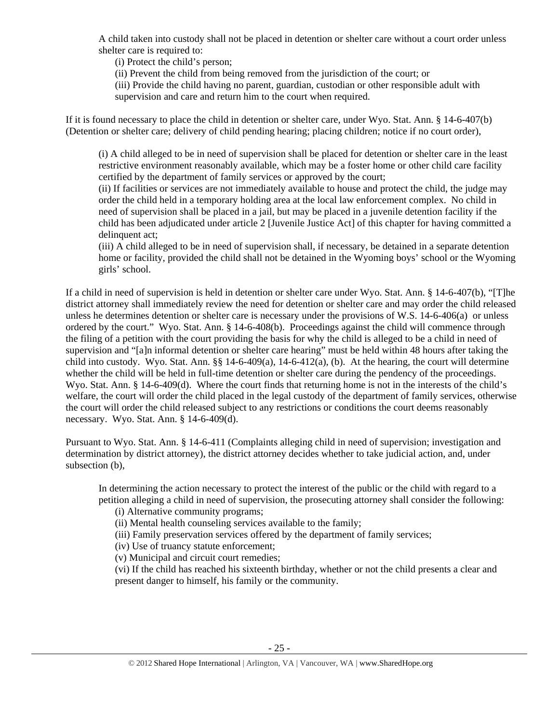A child taken into custody shall not be placed in detention or shelter care without a court order unless shelter care is required to:

(i) Protect the child's person;

(ii) Prevent the child from being removed from the jurisdiction of the court; or

(iii) Provide the child having no parent, guardian, custodian or other responsible adult with supervision and care and return him to the court when required.

If it is found necessary to place the child in detention or shelter care, under Wyo. Stat. Ann. § 14-6-407(b) (Detention or shelter care; delivery of child pending hearing; placing children; notice if no court order),

(i) A child alleged to be in need of supervision shall be placed for detention or shelter care in the least restrictive environment reasonably available, which may be a foster home or other child care facility certified by the department of family services or approved by the court;

(ii) If facilities or services are not immediately available to house and protect the child, the judge may order the child held in a temporary holding area at the local law enforcement complex. No child in need of supervision shall be placed in a jail, but may be placed in a juvenile detention facility if the child has been adjudicated under article 2 [Juvenile Justice Act] of this chapter for having committed a delinquent act;

(iii) A child alleged to be in need of supervision shall, if necessary, be detained in a separate detention home or facility, provided the child shall not be detained in the Wyoming boys' school or the Wyoming girls' school.

If a child in need of supervision is held in detention or shelter care under Wyo. Stat. Ann. § 14-6-407(b), "[T]he district attorney shall immediately review the need for detention or shelter care and may order the child released unless he determines detention or shelter care is necessary under the provisions of W.S. 14-6-406(a) or unless ordered by the court." Wyo. Stat. Ann. § 14-6-408(b). Proceedings against the child will commence through the filing of a petition with the court providing the basis for why the child is alleged to be a child in need of supervision and "[a]n informal detention or shelter care hearing" must be held within 48 hours after taking the child into custody. Wyo. Stat. Ann.  $\S$  14-6-409(a), 14-6-412(a), (b). At the hearing, the court will determine whether the child will be held in full-time detention or shelter care during the pendency of the proceedings. Wyo. Stat. Ann. § 14-6-409(d). Where the court finds that returning home is not in the interests of the child's welfare, the court will order the child placed in the legal custody of the department of family services, otherwise the court will order the child released subject to any restrictions or conditions the court deems reasonably necessary. Wyo. Stat. Ann. § 14-6-409(d).

Pursuant to Wyo. Stat. Ann. § 14-6-411 (Complaints alleging child in need of supervision; investigation and determination by district attorney), the district attorney decides whether to take judicial action, and, under subsection (b),

In determining the action necessary to protect the interest of the public or the child with regard to a petition alleging a child in need of supervision, the prosecuting attorney shall consider the following:

(i) Alternative community programs;

(ii) Mental health counseling services available to the family;

(iii) Family preservation services offered by the department of family services;

(iv) Use of truancy statute enforcement;

(v) Municipal and circuit court remedies;

(vi) If the child has reached his sixteenth birthday, whether or not the child presents a clear and present danger to himself, his family or the community.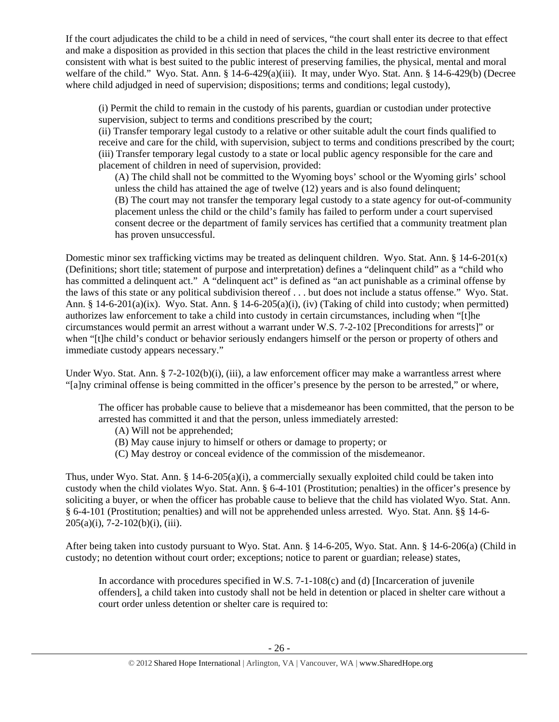If the court adjudicates the child to be a child in need of services, "the court shall enter its decree to that effect and make a disposition as provided in this section that places the child in the least restrictive environment consistent with what is best suited to the public interest of preserving families, the physical, mental and moral welfare of the child." Wyo. Stat. Ann. § 14-6-429(a)(iii). It may, under Wyo. Stat. Ann. § 14-6-429(b) (Decree where child adjudged in need of supervision; dispositions; terms and conditions; legal custody),

(i) Permit the child to remain in the custody of his parents, guardian or custodian under protective supervision, subject to terms and conditions prescribed by the court;

(ii) Transfer temporary legal custody to a relative or other suitable adult the court finds qualified to receive and care for the child, with supervision, subject to terms and conditions prescribed by the court; (iii) Transfer temporary legal custody to a state or local public agency responsible for the care and placement of children in need of supervision, provided:

(A) The child shall not be committed to the Wyoming boys' school or the Wyoming girls' school unless the child has attained the age of twelve (12) years and is also found delinquent; (B) The court may not transfer the temporary legal custody to a state agency for out-of-community placement unless the child or the child's family has failed to perform under a court supervised consent decree or the department of family services has certified that a community treatment plan has proven unsuccessful.

Domestic minor sex trafficking victims may be treated as delinquent children. Wyo. Stat. Ann.  $\S$  14-6-201 $(x)$ (Definitions; short title; statement of purpose and interpretation) defines a "delinquent child" as a "child who has committed a delinquent act." A "delinquent act" is defined as "an act punishable as a criminal offense by the laws of this state or any political subdivision thereof . . . but does not include a status offense." Wyo. Stat. Ann. § 14-6-201(a)(ix). Wyo. Stat. Ann. § 14-6-205(a)(i), (iv) (Taking of child into custody; when permitted) authorizes law enforcement to take a child into custody in certain circumstances, including when "[t]he circumstances would permit an arrest without a warrant under W.S. 7-2-102 [Preconditions for arrests]" or when "[t]he child's conduct or behavior seriously endangers himself or the person or property of others and immediate custody appears necessary."

Under Wyo. Stat. Ann. § 7-2-102(b)(i), (iii), a law enforcement officer may make a warrantless arrest where "[a]ny criminal offense is being committed in the officer's presence by the person to be arrested," or where,

The officer has probable cause to believe that a misdemeanor has been committed, that the person to be arrested has committed it and that the person, unless immediately arrested:

- (A) Will not be apprehended;
- (B) May cause injury to himself or others or damage to property; or
- (C) May destroy or conceal evidence of the commission of the misdemeanor.

Thus, under Wyo. Stat. Ann. § 14-6-205(a)(i), a commercially sexually exploited child could be taken into custody when the child violates Wyo. Stat. Ann. § 6-4-101 (Prostitution; penalties) in the officer's presence by soliciting a buyer, or when the officer has probable cause to believe that the child has violated Wyo. Stat. Ann. § 6-4-101 (Prostitution; penalties) and will not be apprehended unless arrested. Wyo. Stat. Ann. §§ 14-6-  $205(a)(i)$ , 7-2-102(b)(i), (iii).

After being taken into custody pursuant to Wyo. Stat. Ann. § 14-6-205, Wyo. Stat. Ann. § 14-6-206(a) (Child in custody; no detention without court order; exceptions; notice to parent or guardian; release) states,

In accordance with procedures specified in W.S. 7-1-108(c) and (d) [Incarceration of juvenile offenders], a child taken into custody shall not be held in detention or placed in shelter care without a court order unless detention or shelter care is required to: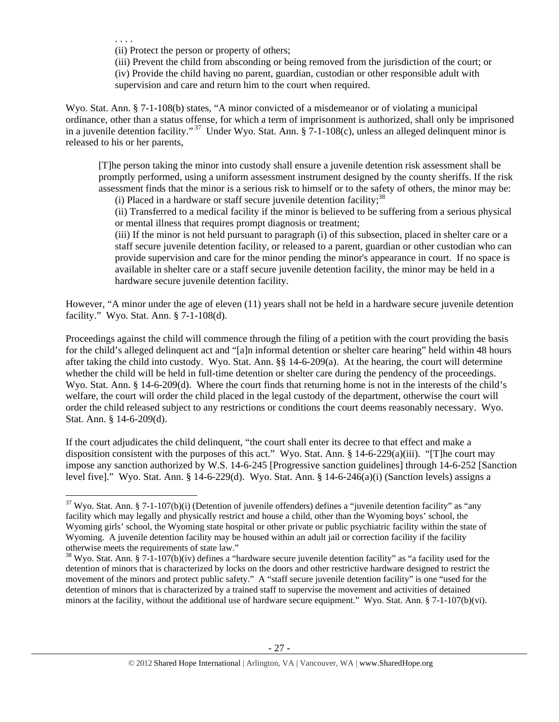. . . .

(ii) Protect the person or property of others;

(iii) Prevent the child from absconding or being removed from the jurisdiction of the court; or (iv) Provide the child having no parent, guardian, custodian or other responsible adult with supervision and care and return him to the court when required.

Wyo. Stat. Ann. § 7-1-108(b) states, "A minor convicted of a misdemeanor or of violating a municipal ordinance, other than a status offense, for which a term of imprisonment is authorized, shall only be imprisoned in a juvenile detention facility."<sup>37</sup> Under Wyo. Stat. Ann.  $\frac{6}{5}$  7-1-108(c), unless an alleged delinquent minor is released to his or her parents,

[T]he person taking the minor into custody shall ensure a juvenile detention risk assessment shall be promptly performed, using a uniform assessment instrument designed by the county sheriffs. If the risk assessment finds that the minor is a serious risk to himself or to the safety of others, the minor may be: (i) Placed in a hardware or staff secure juvenile detention facility; $38$ 

(ii) Transferred to a medical facility if the minor is believed to be suffering from a serious physical or mental illness that requires prompt diagnosis or treatment;

(iii) If the minor is not held pursuant to paragraph (i) of this subsection, placed in shelter care or a staff secure juvenile detention facility, or released to a parent, guardian or other custodian who can provide supervision and care for the minor pending the minor's appearance in court. If no space is available in shelter care or a staff secure juvenile detention facility, the minor may be held in a hardware secure juvenile detention facility.

However, "A minor under the age of eleven (11) years shall not be held in a hardware secure juvenile detention facility." Wyo. Stat. Ann. § 7-1-108(d).

Proceedings against the child will commence through the filing of a petition with the court providing the basis for the child's alleged delinquent act and "[a]n informal detention or shelter care hearing" held within 48 hours after taking the child into custody. Wyo. Stat. Ann. §§ 14-6-209(a). At the hearing, the court will determine whether the child will be held in full-time detention or shelter care during the pendency of the proceedings. Wyo. Stat. Ann. § 14-6-209(d). Where the court finds that returning home is not in the interests of the child's welfare, the court will order the child placed in the legal custody of the department, otherwise the court will order the child released subject to any restrictions or conditions the court deems reasonably necessary. Wyo. Stat. Ann. § 14-6-209(d).

If the court adjudicates the child delinquent, "the court shall enter its decree to that effect and make a disposition consistent with the purposes of this act." Wyo. Stat. Ann.  $\S$  14-6-229(a)(iii). "[T]he court may impose any sanction authorized by W.S. 14-6-245 [Progressive sanction guidelines] through 14-6-252 [Sanction level five]." Wyo. Stat. Ann. § 14-6-229(d). Wyo. Stat. Ann. § 14-6-246(a)(i) (Sanction levels) assigns a

 $37$  Wyo. Stat. Ann. § 7-1-107(b)(i) (Detention of juvenile offenders) defines a "juvenile detention facility" as "any facility which may legally and physically restrict and house a child, other than the Wyoming boys' school, the Wyoming girls' school, the Wyoming state hospital or other private or public psychiatric facility within the state of Wyoming. A juvenile detention facility may be housed within an adult jail or correction facility if the facility otherwise meets the requirements of state law."

<sup>&</sup>lt;sup>38</sup> Wyo. Stat. Ann. § 7-1-107(b)(iv) defines a "hardware secure juvenile detention facility" as "a facility used for the detention of minors that is characterized by locks on the doors and other restrictive hardware designed to restrict the movement of the minors and protect public safety." A "staff secure juvenile detention facility" is one "used for the detention of minors that is characterized by a trained staff to supervise the movement and activities of detained minors at the facility, without the additional use of hardware secure equipment." Wyo. Stat. Ann. § 7-1-107(b)(vi).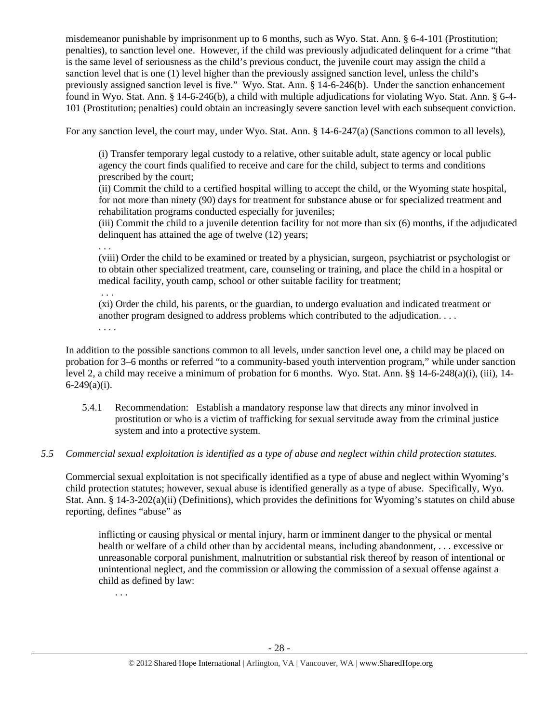misdemeanor punishable by imprisonment up to 6 months, such as Wyo. Stat. Ann. § 6-4-101 (Prostitution; penalties), to sanction level one. However, if the child was previously adjudicated delinquent for a crime "that is the same level of seriousness as the child's previous conduct, the juvenile court may assign the child a sanction level that is one (1) level higher than the previously assigned sanction level, unless the child's previously assigned sanction level is five." Wyo. Stat. Ann. § 14-6-246(b). Under the sanction enhancement found in Wyo. Stat. Ann. § 14-6-246(b), a child with multiple adjudications for violating Wyo. Stat. Ann. § 6-4- 101 (Prostitution; penalties) could obtain an increasingly severe sanction level with each subsequent conviction.

For any sanction level, the court may, under Wyo. Stat. Ann. § 14-6-247(a) (Sanctions common to all levels),

(i) Transfer temporary legal custody to a relative, other suitable adult, state agency or local public agency the court finds qualified to receive and care for the child, subject to terms and conditions prescribed by the court;

(ii) Commit the child to a certified hospital willing to accept the child, or the Wyoming state hospital, for not more than ninety (90) days for treatment for substance abuse or for specialized treatment and rehabilitation programs conducted especially for juveniles;

(iii) Commit the child to a juvenile detention facility for not more than six (6) months, if the adjudicated delinquent has attained the age of twelve (12) years;

(viii) Order the child to be examined or treated by a physician, surgeon, psychiatrist or psychologist or to obtain other specialized treatment, care, counseling or training, and place the child in a hospital or medical facility, youth camp, school or other suitable facility for treatment;

 . . . (xi) Order the child, his parents, or the guardian, to undergo evaluation and indicated treatment or another program designed to address problems which contributed to the adjudication. . . . . . . .

In addition to the possible sanctions common to all levels, under sanction level one, a child may be placed on probation for 3–6 months or referred "to a community-based youth intervention program," while under sanction level 2, a child may receive a minimum of probation for 6 months. Wyo. Stat. Ann. §§ 14-6-248(a)(i), (iii), 14-  $6-249(a)(i)$ .

- 5.4.1 Recommendation: Establish a mandatory response law that directs any minor involved in prostitution or who is a victim of trafficking for sexual servitude away from the criminal justice system and into a protective system.
- *5.5 Commercial sexual exploitation is identified as a type of abuse and neglect within child protection statutes.*

Commercial sexual exploitation is not specifically identified as a type of abuse and neglect within Wyoming's child protection statutes; however, sexual abuse is identified generally as a type of abuse. Specifically, Wyo. Stat. Ann. § 14-3-202(a)(ii) (Definitions), which provides the definitions for Wyoming's statutes on child abuse reporting, defines "abuse" as

inflicting or causing physical or mental injury, harm or imminent danger to the physical or mental health or welfare of a child other than by accidental means, including abandonment, . . . excessive or unreasonable corporal punishment, malnutrition or substantial risk thereof by reason of intentional or unintentional neglect, and the commission or allowing the commission of a sexual offense against a child as defined by law:

. . .

. . .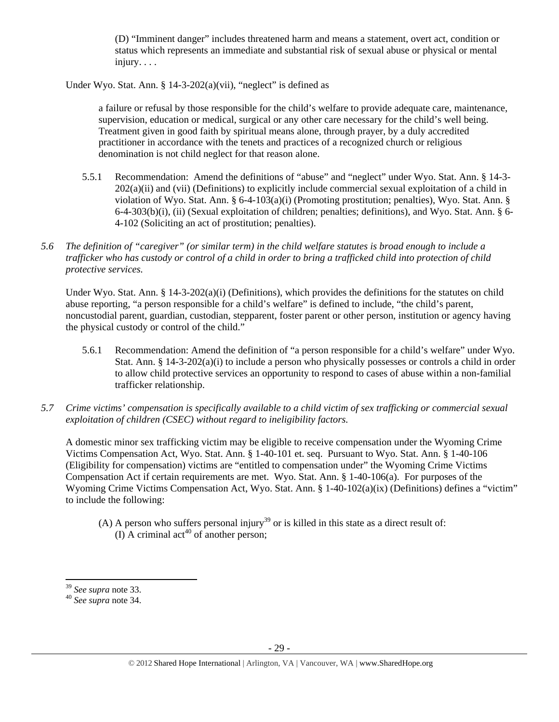(D) "Imminent danger" includes threatened harm and means a statement, overt act, condition or status which represents an immediate and substantial risk of sexual abuse or physical or mental injury. . . .

Under Wyo. Stat. Ann. § 14-3-202(a)(vii), "neglect" is defined as

a failure or refusal by those responsible for the child's welfare to provide adequate care, maintenance, supervision, education or medical, surgical or any other care necessary for the child's well being. Treatment given in good faith by spiritual means alone, through prayer, by a duly accredited practitioner in accordance with the tenets and practices of a recognized church or religious denomination is not child neglect for that reason alone.

- 5.5.1 Recommendation: Amend the definitions of "abuse" and "neglect" under Wyo. Stat. Ann. § 14-3- 202(a)(ii) and (vii) (Definitions) to explicitly include commercial sexual exploitation of a child in violation of Wyo. Stat. Ann. § 6-4-103(a)(i) (Promoting prostitution; penalties), Wyo. Stat. Ann. § 6-4-303(b)(i), (ii) (Sexual exploitation of children; penalties; definitions), and Wyo. Stat. Ann. § 6- 4-102 (Soliciting an act of prostitution; penalties).
- *5.6 The definition of "caregiver" (or similar term) in the child welfare statutes is broad enough to include a trafficker who has custody or control of a child in order to bring a trafficked child into protection of child protective services.*

Under Wyo. Stat. Ann. § 14-3-202(a)(i) (Definitions), which provides the definitions for the statutes on child abuse reporting, "a person responsible for a child's welfare" is defined to include, "the child's parent, noncustodial parent, guardian, custodian, stepparent, foster parent or other person, institution or agency having the physical custody or control of the child."

- 5.6.1 Recommendation: Amend the definition of "a person responsible for a child's welfare" under Wyo. Stat. Ann. § 14-3-202(a)(i) to include a person who physically possesses or controls a child in order to allow child protective services an opportunity to respond to cases of abuse within a non-familial trafficker relationship.
- *5.7 Crime victims' compensation is specifically available to a child victim of sex trafficking or commercial sexual exploitation of children (CSEC) without regard to ineligibility factors.*

A domestic minor sex trafficking victim may be eligible to receive compensation under the Wyoming Crime Victims Compensation Act, Wyo. Stat. Ann. § 1-40-101 et. seq. Pursuant to Wyo. Stat. Ann. § 1-40-106 (Eligibility for compensation) victims are "entitled to compensation under" the Wyoming Crime Victims Compensation Act if certain requirements are met. Wyo. Stat. Ann. § 1-40-106(a). For purposes of the Wyoming Crime Victims Compensation Act, Wyo. Stat. Ann. § 1-40-102(a)(ix) (Definitions) defines a "victim" to include the following:

(A) A person who suffers personal injury<sup>39</sup> or is killed in this state as a direct result of: (I) A criminal act<sup>40</sup> of another person;

<sup>39</sup> *See supra* note 33. 40 *See supra* note 34.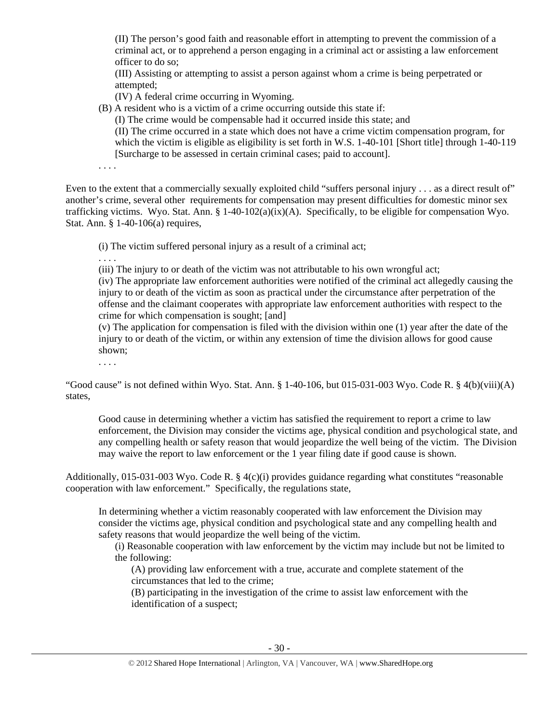(II) The person's good faith and reasonable effort in attempting to prevent the commission of a criminal act, or to apprehend a person engaging in a criminal act or assisting a law enforcement officer to do so;

(III) Assisting or attempting to assist a person against whom a crime is being perpetrated or attempted;

(IV) A federal crime occurring in Wyoming.

(B) A resident who is a victim of a crime occurring outside this state if:

(I) The crime would be compensable had it occurred inside this state; and

(II) The crime occurred in a state which does not have a crime victim compensation program, for which the victim is eligible as eligibility is set forth in W.S. 1-40-101 [Short title] through 1-40-119 [Surcharge to be assessed in certain criminal cases; paid to account].

. . . .

Even to the extent that a commercially sexually exploited child "suffers personal injury . . . as a direct result of" another's crime, several other requirements for compensation may present difficulties for domestic minor sex trafficking victims. Wyo. Stat. Ann.  $\S 1-40-102(a)(ix)(A)$ . Specifically, to be eligible for compensation Wyo. Stat. Ann. § 1-40-106(a) requires,

(i) The victim suffered personal injury as a result of a criminal act;

. . . .

(iii) The injury to or death of the victim was not attributable to his own wrongful act;

(iv) The appropriate law enforcement authorities were notified of the criminal act allegedly causing the injury to or death of the victim as soon as practical under the circumstance after perpetration of the offense and the claimant cooperates with appropriate law enforcement authorities with respect to the crime for which compensation is sought; [and]

(v) The application for compensation is filed with the division within one (1) year after the date of the injury to or death of the victim, or within any extension of time the division allows for good cause shown;

. . . .

"Good cause" is not defined within Wyo. Stat. Ann.  $\S$  1-40-106, but 015-031-003 Wyo. Code R.  $\S$  4(b)(viii)(A) states,

Good cause in determining whether a victim has satisfied the requirement to report a crime to law enforcement, the Division may consider the victims age, physical condition and psychological state, and any compelling health or safety reason that would jeopardize the well being of the victim. The Division may waive the report to law enforcement or the 1 year filing date if good cause is shown.

Additionally, 015-031-003 Wyo. Code R. § 4(c)(i) provides guidance regarding what constitutes "reasonable cooperation with law enforcement." Specifically, the regulations state,

In determining whether a victim reasonably cooperated with law enforcement the Division may consider the victims age, physical condition and psychological state and any compelling health and safety reasons that would jeopardize the well being of the victim.

(i) Reasonable cooperation with law enforcement by the victim may include but not be limited to the following:

(A) providing law enforcement with a true, accurate and complete statement of the circumstances that led to the crime;

(B) participating in the investigation of the crime to assist law enforcement with the identification of a suspect;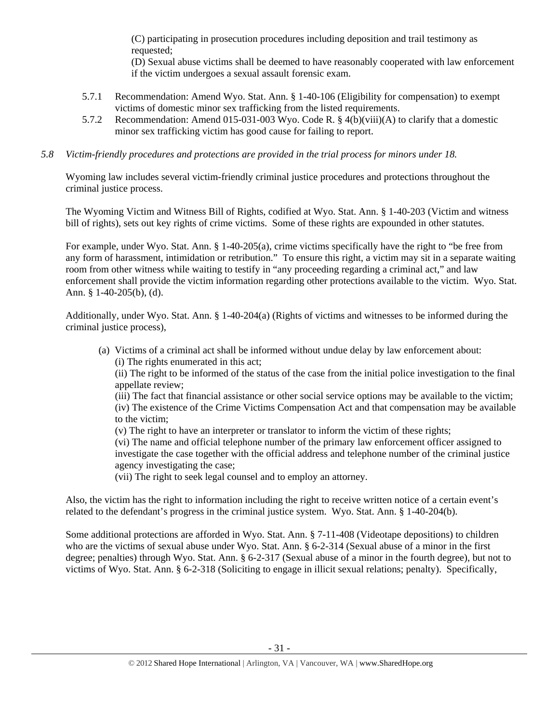(C) participating in prosecution procedures including deposition and trail testimony as requested;

(D) Sexual abuse victims shall be deemed to have reasonably cooperated with law enforcement if the victim undergoes a sexual assault forensic exam.

- 5.7.1 Recommendation: Amend Wyo. Stat. Ann. § 1-40-106 (Eligibility for compensation) to exempt victims of domestic minor sex trafficking from the listed requirements.
- 5.7.2 Recommendation: Amend 015-031-003 Wyo. Code R. § 4(b)(viii)(A) to clarify that a domestic minor sex trafficking victim has good cause for failing to report.

## *5.8 Victim-friendly procedures and protections are provided in the trial process for minors under 18.*

Wyoming law includes several victim-friendly criminal justice procedures and protections throughout the criminal justice process.

The Wyoming Victim and Witness Bill of Rights, codified at Wyo. Stat. Ann. § 1-40-203 (Victim and witness bill of rights), sets out key rights of crime victims. Some of these rights are expounded in other statutes.

For example, under Wyo. Stat. Ann. § 1-40-205(a), crime victims specifically have the right to "be free from any form of harassment, intimidation or retribution." To ensure this right, a victim may sit in a separate waiting room from other witness while waiting to testify in "any proceeding regarding a criminal act," and law enforcement shall provide the victim information regarding other protections available to the victim. Wyo. Stat. Ann. § 1-40-205(b), (d).

Additionally, under Wyo. Stat. Ann. § 1-40-204(a) (Rights of victims and witnesses to be informed during the criminal justice process),

(a) Victims of a criminal act shall be informed without undue delay by law enforcement about: (i) The rights enumerated in this act;

(ii) The right to be informed of the status of the case from the initial police investigation to the final appellate review;

(iii) The fact that financial assistance or other social service options may be available to the victim; (iv) The existence of the Crime Victims Compensation Act and that compensation may be available to the victim;

(v) The right to have an interpreter or translator to inform the victim of these rights;

(vi) The name and official telephone number of the primary law enforcement officer assigned to investigate the case together with the official address and telephone number of the criminal justice agency investigating the case;

(vii) The right to seek legal counsel and to employ an attorney.

Also, the victim has the right to information including the right to receive written notice of a certain event's related to the defendant's progress in the criminal justice system. Wyo. Stat. Ann. § 1-40-204(b).

Some additional protections are afforded in Wyo. Stat. Ann. § 7-11-408 (Videotape depositions) to children who are the victims of sexual abuse under Wyo. Stat. Ann. § 6-2-314 (Sexual abuse of a minor in the first degree; penalties) through Wyo. Stat. Ann. § 6-2-317 (Sexual abuse of a minor in the fourth degree), but not to victims of Wyo. Stat. Ann. § 6-2-318 (Soliciting to engage in illicit sexual relations; penalty). Specifically,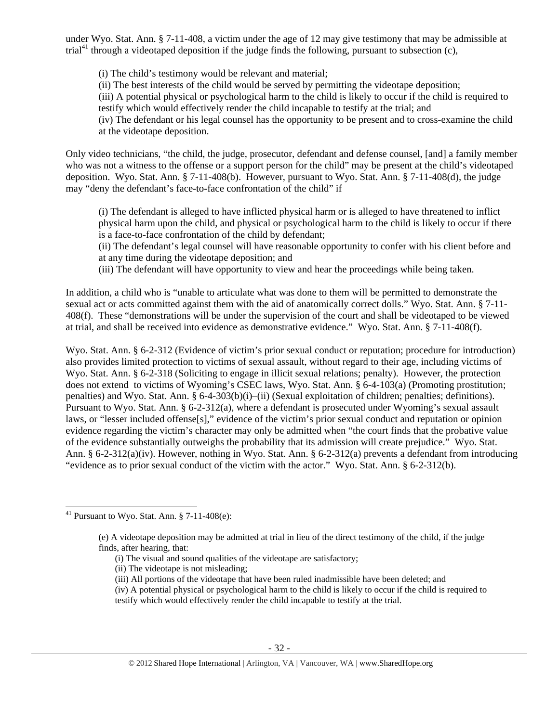under Wyo. Stat. Ann. § 7-11-408, a victim under the age of 12 may give testimony that may be admissible at trial<sup>41</sup> through a videotaped deposition if the judge finds the following, pursuant to subsection (c),

(i) The child's testimony would be relevant and material;

(ii) The best interests of the child would be served by permitting the videotape deposition;

(iii) A potential physical or psychological harm to the child is likely to occur if the child is required to testify which would effectively render the child incapable to testify at the trial; and

(iv) The defendant or his legal counsel has the opportunity to be present and to cross-examine the child at the videotape deposition.

Only video technicians, "the child, the judge, prosecutor, defendant and defense counsel, [and] a family member who was not a witness to the offense or a support person for the child" may be present at the child's videotaped deposition. Wyo. Stat. Ann. § 7-11-408(b). However, pursuant to Wyo. Stat. Ann. § 7-11-408(d), the judge may "deny the defendant's face-to-face confrontation of the child" if

(i) The defendant is alleged to have inflicted physical harm or is alleged to have threatened to inflict physical harm upon the child, and physical or psychological harm to the child is likely to occur if there is a face-to-face confrontation of the child by defendant;

(ii) The defendant's legal counsel will have reasonable opportunity to confer with his client before and at any time during the videotape deposition; and

(iii) The defendant will have opportunity to view and hear the proceedings while being taken.

In addition, a child who is "unable to articulate what was done to them will be permitted to demonstrate the sexual act or acts committed against them with the aid of anatomically correct dolls." Wyo. Stat. Ann. § 7-11- 408(f). These "demonstrations will be under the supervision of the court and shall be videotaped to be viewed at trial, and shall be received into evidence as demonstrative evidence." Wyo. Stat. Ann. § 7-11-408(f).

Wyo. Stat. Ann. § 6-2-312 (Evidence of victim's prior sexual conduct or reputation; procedure for introduction) also provides limited protection to victims of sexual assault, without regard to their age, including victims of Wyo. Stat. Ann. § 6-2-318 (Soliciting to engage in illicit sexual relations; penalty). However, the protection does not extend to victims of Wyoming's CSEC laws, Wyo. Stat. Ann. § 6-4-103(a) (Promoting prostitution; penalties) and Wyo. Stat. Ann. § 6-4-303(b)(i)–(ii) (Sexual exploitation of children; penalties; definitions). Pursuant to Wyo. Stat. Ann. § 6-2-312(a), where a defendant is prosecuted under Wyoming's sexual assault laws, or "lesser included offense[s]," evidence of the victim's prior sexual conduct and reputation or opinion evidence regarding the victim's character may only be admitted when "the court finds that the probative value of the evidence substantially outweighs the probability that its admission will create prejudice." Wyo. Stat. Ann. § 6-2-312(a)(iv). However, nothing in Wyo. Stat. Ann. § 6-2-312(a) prevents a defendant from introducing "evidence as to prior sexual conduct of the victim with the actor." Wyo. Stat. Ann. § 6-2-312(b).

<sup>&</sup>lt;sup>41</sup> Pursuant to Wyo. Stat. Ann.  $\S$  7-11-408(e):

<sup>(</sup>e) A videotape deposition may be admitted at trial in lieu of the direct testimony of the child, if the judge finds, after hearing, that:

<sup>(</sup>i) The visual and sound qualities of the videotape are satisfactory;

<sup>(</sup>ii) The videotape is not misleading;

<sup>(</sup>iii) All portions of the videotape that have been ruled inadmissible have been deleted; and

<sup>(</sup>iv) A potential physical or psychological harm to the child is likely to occur if the child is required to testify which would effectively render the child incapable to testify at the trial.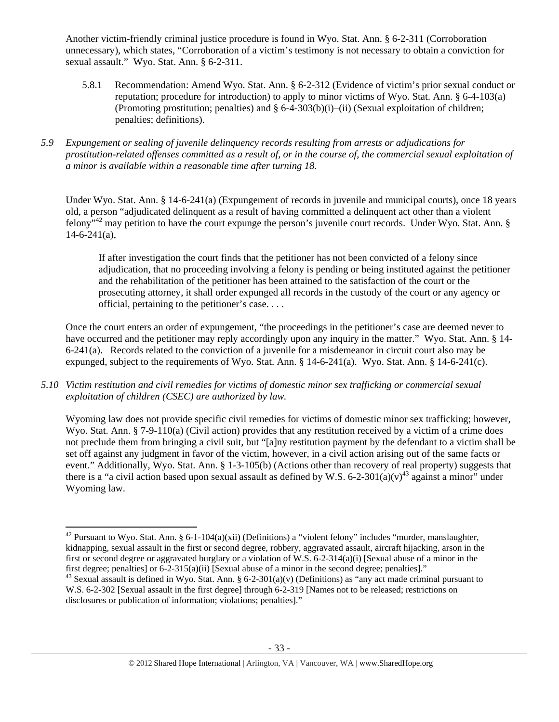Another victim-friendly criminal justice procedure is found in Wyo. Stat. Ann. § 6-2-311 (Corroboration unnecessary), which states, "Corroboration of a victim's testimony is not necessary to obtain a conviction for sexual assault." Wyo. Stat. Ann. § 6-2-311.

- 5.8.1 Recommendation: Amend Wyo. Stat. Ann. § 6-2-312 (Evidence of victim's prior sexual conduct or reputation; procedure for introduction) to apply to minor victims of Wyo. Stat. Ann. § 6-4-103(a) (Promoting prostitution; penalties) and  $\S 6-4-303(b)(i)-(ii)$  (Sexual exploitation of children; penalties; definitions).
- *5.9 Expungement or sealing of juvenile delinquency records resulting from arrests or adjudications for prostitution-related offenses committed as a result of, or in the course of, the commercial sexual exploitation of a minor is available within a reasonable time after turning 18.*

Under Wyo. Stat. Ann. § 14-6-241(a) (Expungement of records in juvenile and municipal courts), once 18 years old, a person "adjudicated delinquent as a result of having committed a delinquent act other than a violent felony<sup>",42</sup> may petition to have the court expunge the person's juvenile court records. Under Wyo. Stat. Ann.  $\S$  $14-6-241(a)$ ,

If after investigation the court finds that the petitioner has not been convicted of a felony since adjudication, that no proceeding involving a felony is pending or being instituted against the petitioner and the rehabilitation of the petitioner has been attained to the satisfaction of the court or the prosecuting attorney, it shall order expunged all records in the custody of the court or any agency or official, pertaining to the petitioner's case. . . .

Once the court enters an order of expungement, "the proceedings in the petitioner's case are deemed never to have occurred and the petitioner may reply accordingly upon any inquiry in the matter." Wyo. Stat. Ann. § 14- 6-241(a). Records related to the conviction of a juvenile for a misdemeanor in circuit court also may be expunged, subject to the requirements of Wyo. Stat. Ann. § 14-6-241(a). Wyo. Stat. Ann. § 14-6-241(c).

*5.10 Victim restitution and civil remedies for victims of domestic minor sex trafficking or commercial sexual exploitation of children (CSEC) are authorized by law.* 

Wyoming law does not provide specific civil remedies for victims of domestic minor sex trafficking; however, Wyo. Stat. Ann. § 7-9-110(a) (Civil action) provides that any restitution received by a victim of a crime does not preclude them from bringing a civil suit, but "[a]ny restitution payment by the defendant to a victim shall be set off against any judgment in favor of the victim, however, in a civil action arising out of the same facts or event." Additionally, Wyo. Stat. Ann. § 1-3-105(b) (Actions other than recovery of real property) suggests that there is a "a civil action based upon sexual assault as defined by W.S. 6-2-301(a)(v)<sup>43</sup> against a minor" under Wyoming law.

 <sup>42</sup> Pursuant to Wyo. Stat. Ann. § 6-1-104(a)(xii) (Definitions) a "violent felony" includes "murder, manslaughter, kidnapping, sexual assault in the first or second degree, robbery, aggravated assault, aircraft hijacking, arson in the first or second degree or aggravated burglary or a violation of W.S. 6-2-314(a)(i) [Sexual abuse of a minor in the first degree; penalties] or 6-2-315(a)(ii) [Sexual abuse of a minor in the second degree; penalties]."<br><sup>43</sup> Sexual assault is defined in Wyo. Stat. Ann. § 6-2-301(a)(v) (Definitions) as "any act made criminal pursuant to

W.S. 6-2-302 [Sexual assault in the first degree] through 6-2-319 [Names not to be released; restrictions on disclosures or publication of information; violations; penalties]."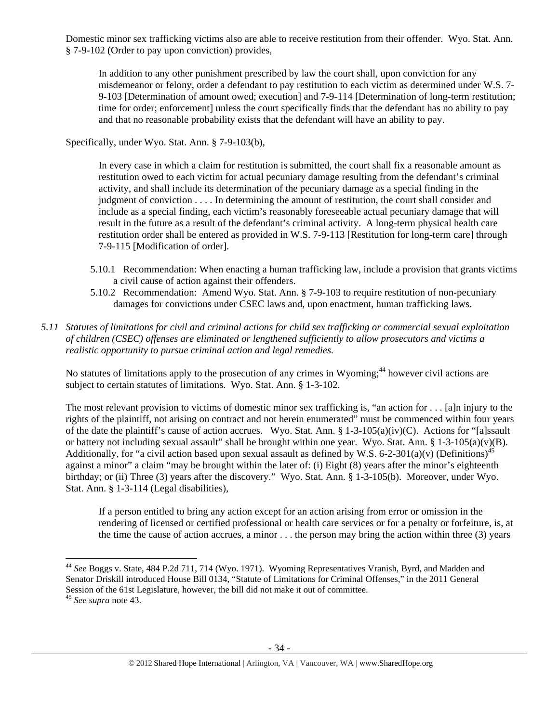Domestic minor sex trafficking victims also are able to receive restitution from their offender. Wyo. Stat. Ann. § 7-9-102 (Order to pay upon conviction) provides,

In addition to any other punishment prescribed by law the court shall, upon conviction for any misdemeanor or felony, order a defendant to pay restitution to each victim as determined under W.S. 7- 9-103 [Determination of amount owed; execution] and 7-9-114 [Determination of long-term restitution; time for order; enforcement] unless the court specifically finds that the defendant has no ability to pay and that no reasonable probability exists that the defendant will have an ability to pay.

Specifically, under Wyo. Stat. Ann. § 7-9-103(b),

In every case in which a claim for restitution is submitted, the court shall fix a reasonable amount as restitution owed to each victim for actual pecuniary damage resulting from the defendant's criminal activity, and shall include its determination of the pecuniary damage as a special finding in the judgment of conviction . . . . In determining the amount of restitution, the court shall consider and include as a special finding, each victim's reasonably foreseeable actual pecuniary damage that will result in the future as a result of the defendant's criminal activity. A long-term physical health care restitution order shall be entered as provided in W.S. 7-9-113 [Restitution for long-term care] through 7-9-115 [Modification of order].

- 5.10.1 Recommendation: When enacting a human trafficking law, include a provision that grants victims a civil cause of action against their offenders.
- 5.10.2 Recommendation: Amend Wyo. Stat. Ann. § 7-9-103 to require restitution of non-pecuniary damages for convictions under CSEC laws and, upon enactment, human trafficking laws.
- *5.11 Statutes of limitations for civil and criminal actions for child sex trafficking or commercial sexual exploitation of children (CSEC) offenses are eliminated or lengthened sufficiently to allow prosecutors and victims a realistic opportunity to pursue criminal action and legal remedies.*

No statutes of limitations apply to the prosecution of any crimes in Wyoming;<sup>44</sup> however civil actions are subject to certain statutes of limitations. Wyo. Stat. Ann. § 1-3-102.

The most relevant provision to victims of domestic minor sex trafficking is, "an action for . . . [a]n injury to the rights of the plaintiff, not arising on contract and not herein enumerated" must be commenced within four years of the date the plaintiff's cause of action accrues. Wyo. Stat. Ann. § 1-3-105(a)(iv)(C). Actions for "[a]ssault or battery not including sexual assault" shall be brought within one year. Wyo. Stat. Ann. § 1-3-105(a)(v)(B). Additionally, for "a civil action based upon sexual assault as defined by W.S. 6-2-301(a)(v) (Definitions)<sup>45</sup> against a minor" a claim "may be brought within the later of: (i) Eight (8) years after the minor's eighteenth birthday; or (ii) Three (3) years after the discovery." Wyo. Stat. Ann. § 1-3-105(b). Moreover, under Wyo. Stat. Ann. § 1-3-114 (Legal disabilities),

If a person entitled to bring any action except for an action arising from error or omission in the rendering of licensed or certified professional or health care services or for a penalty or forfeiture, is, at the time the cause of action accrues, a minor  $\dots$  the person may bring the action within three (3) years

 <sup>44</sup> *See* Boggs v. State, 484 P.2d 711, 714 (Wyo. 1971). Wyoming Representatives Vranish, Byrd, and Madden and Senator Driskill introduced House Bill 0134, "Statute of Limitations for Criminal Offenses," in the 2011 General Session of the 61st Legislature, however, the bill did not make it out of committee.

<sup>45</sup> *See supra* note 43.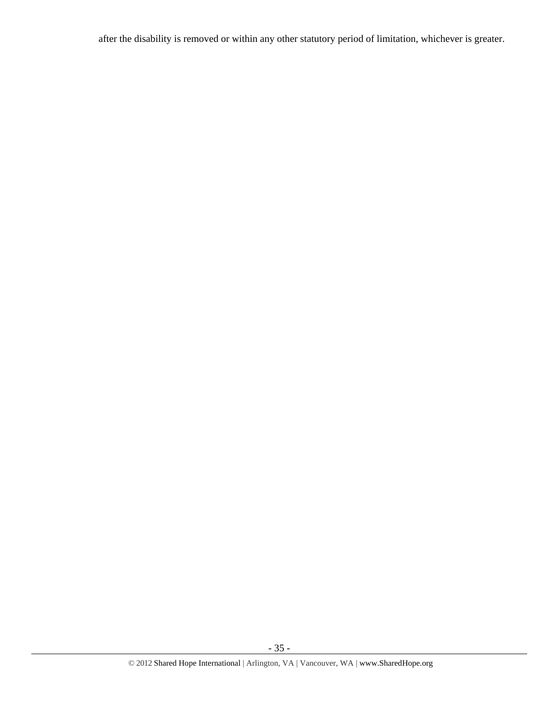after the disability is removed or within any other statutory period of limitation, whichever is greater.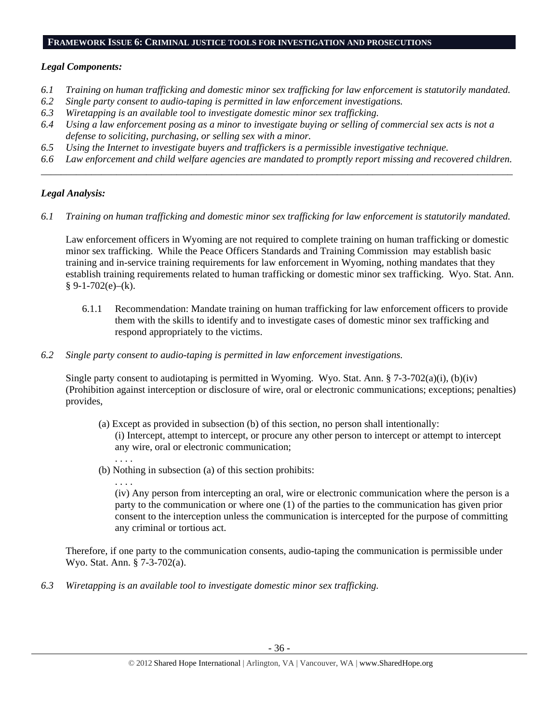#### **FRAMEWORK ISSUE 6: CRIMINAL JUSTICE TOOLS FOR INVESTIGATION AND PROSECUTIONS**

#### *Legal Components:*

- *6.1 Training on human trafficking and domestic minor sex trafficking for law enforcement is statutorily mandated.*
- *6.2 Single party consent to audio-taping is permitted in law enforcement investigations.*
- *6.3 Wiretapping is an available tool to investigate domestic minor sex trafficking.*
- *6.4 Using a law enforcement posing as a minor to investigate buying or selling of commercial sex acts is not a defense to soliciting, purchasing, or selling sex with a minor.*
- *6.5 Using the Internet to investigate buyers and traffickers is a permissible investigative technique.*
- *6.6 Law enforcement and child welfare agencies are mandated to promptly report missing and recovered children. \_\_\_\_\_\_\_\_\_\_\_\_\_\_\_\_\_\_\_\_\_\_\_\_\_\_\_\_\_\_\_\_\_\_\_\_\_\_\_\_\_\_\_\_\_\_\_\_\_\_\_\_\_\_\_\_\_\_\_\_\_\_\_\_\_\_\_\_\_\_\_\_\_\_\_\_\_\_\_\_\_\_\_\_\_\_\_\_\_\_\_\_\_\_*

#### *Legal Analysis:*

*6.1 Training on human trafficking and domestic minor sex trafficking for law enforcement is statutorily mandated.* 

Law enforcement officers in Wyoming are not required to complete training on human trafficking or domestic minor sex trafficking. While the Peace Officers Standards and Training Commission may establish basic training and in-service training requirements for law enforcement in Wyoming, nothing mandates that they establish training requirements related to human trafficking or domestic minor sex trafficking. Wyo. Stat. Ann.  $§ 9-1-702(e)–(k).$ 

- 6.1.1 Recommendation: Mandate training on human trafficking for law enforcement officers to provide them with the skills to identify and to investigate cases of domestic minor sex trafficking and respond appropriately to the victims.
- *6.2 Single party consent to audio-taping is permitted in law enforcement investigations.*

Single party consent to audiotaping is permitted in Wyoming. Wyo. Stat. Ann.  $\S$  7-3-702(a)(i), (b)(iv) (Prohibition against interception or disclosure of wire, oral or electronic communications; exceptions; penalties) provides,

- (a) Except as provided in subsection (b) of this section, no person shall intentionally: (i) Intercept, attempt to intercept, or procure any other person to intercept or attempt to intercept any wire, oral or electronic communication;
	- . . . .
- (b) Nothing in subsection (a) of this section prohibits:
	- . . . .

(iv) Any person from intercepting an oral, wire or electronic communication where the person is a party to the communication or where one (1) of the parties to the communication has given prior consent to the interception unless the communication is intercepted for the purpose of committing any criminal or tortious act.

Therefore, if one party to the communication consents, audio-taping the communication is permissible under Wyo. Stat. Ann. § 7-3-702(a).

*6.3 Wiretapping is an available tool to investigate domestic minor sex trafficking.*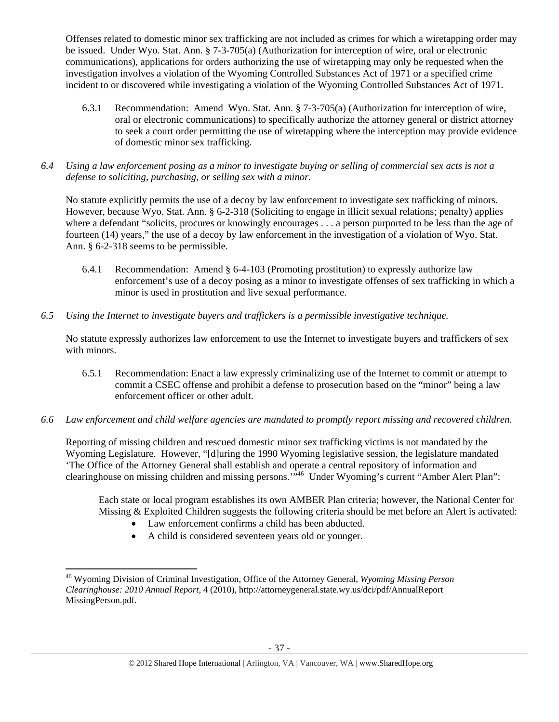Offenses related to domestic minor sex trafficking are not included as crimes for which a wiretapping order may be issued. Under Wyo. Stat. Ann. § 7-3-705(a) (Authorization for interception of wire, oral or electronic communications), applications for orders authorizing the use of wiretapping may only be requested when the investigation involves a violation of the Wyoming Controlled Substances Act of 1971 or a specified crime incident to or discovered while investigating a violation of the Wyoming Controlled Substances Act of 1971.

- 6.3.1 Recommendation: Amend Wyo. Stat. Ann. § 7-3-705(a) (Authorization for interception of wire, oral or electronic communications) to specifically authorize the attorney general or district attorney to seek a court order permitting the use of wiretapping where the interception may provide evidence of domestic minor sex trafficking.
- *6.4 Using a law enforcement posing as a minor to investigate buying or selling of commercial sex acts is not a defense to soliciting, purchasing, or selling sex with a minor.*

No statute explicitly permits the use of a decoy by law enforcement to investigate sex trafficking of minors. However, because Wyo. Stat. Ann. § 6-2-318 (Soliciting to engage in illicit sexual relations; penalty) applies where a defendant "solicits, procures or knowingly encourages . . . a person purported to be less than the age of fourteen (14) years," the use of a decoy by law enforcement in the investigation of a violation of Wyo. Stat. Ann. § 6-2-318 seems to be permissible.

- 6.4.1 Recommendation: Amend § 6-4-103 (Promoting prostitution) to expressly authorize law enforcement's use of a decoy posing as a minor to investigate offenses of sex trafficking in which a minor is used in prostitution and live sexual performance.
- *6.5 Using the Internet to investigate buyers and traffickers is a permissible investigative technique.*

No statute expressly authorizes law enforcement to use the Internet to investigate buyers and traffickers of sex with minors.

- 6.5.1 Recommendation: Enact a law expressly criminalizing use of the Internet to commit or attempt to commit a CSEC offense and prohibit a defense to prosecution based on the "minor" being a law enforcement officer or other adult.
- *6.6 Law enforcement and child welfare agencies are mandated to promptly report missing and recovered children.*

Reporting of missing children and rescued domestic minor sex trafficking victims is not mandated by the Wyoming Legislature. However, "[d]uring the 1990 Wyoming legislative session, the legislature mandated 'The Office of the Attorney General shall establish and operate a central repository of information and clearinghouse on missing children and missing persons.'"46 Under Wyoming's current "Amber Alert Plan":

Each state or local program establishes its own AMBER Plan criteria; however, the National Center for Missing & Exploited Children suggests the following criteria should be met before an Alert is activated:

- Law enforcement confirms a child has been abducted.
- A child is considered seventeen years old or younger.

 46 Wyoming Division of Criminal Investigation, Office of the Attorney General, *Wyoming Missing Person Clearinghouse: 2010 Annual Report*, 4 (2010), http://attorneygeneral.state.wy.us/dci/pdf/AnnualReport MissingPerson.pdf.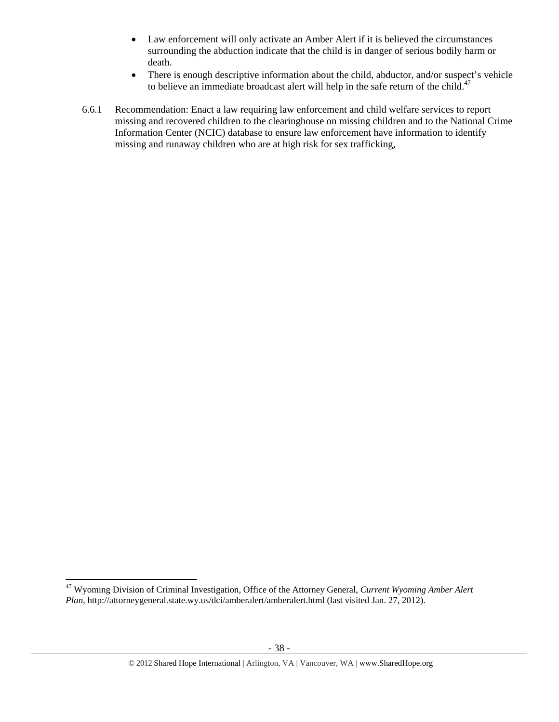- Law enforcement will only activate an Amber Alert if it is believed the circumstances surrounding the abduction indicate that the child is in danger of serious bodily harm or death.
- There is enough descriptive information about the child, abductor, and/or suspect's vehicle to believe an immediate broadcast alert will help in the safe return of the child.<sup>47</sup>
- 6.6.1 Recommendation: Enact a law requiring law enforcement and child welfare services to report missing and recovered children to the clearinghouse on missing children and to the National Crime Information Center (NCIC) database to ensure law enforcement have information to identify missing and runaway children who are at high risk for sex trafficking,

 47 Wyoming Division of Criminal Investigation, Office of the Attorney General, *Current Wyoming Amber Alert Plan*, http://attorneygeneral.state.wy.us/dci/amberalert/amberalert.html (last visited Jan. 27, 2012).